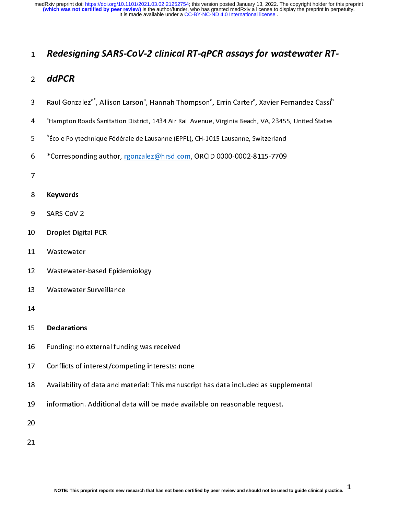- 1 Redesigning SARS-CoV-2 clinical RT-qP CR assays for wastewater RT-<br>
2 ddPCR<br>
Raul Gonzalez<sup>2\*</sup>, Allison Larson<sup>9</sup>, Hannah Thompson<sup>9</sup>, Errin Carter<sup>9</sup>, Xavier Fernandez Cassi<sup>6</sup><br>
<sup>2</sup> fampton Roads Sanitation District, 14 2 **aur Cr**<br>3 Raul Gon:<br>4 <sup>a</sup>Hampton<br>5 <sup>b</sup>École Pol<sub>)</sub><br>6 \*Correspo<br>7 **Keyword:**<br>9 SARS-CoV<br>0 Droplet D<br>1 Wastewa
- , Hannah Thompson<br>t, 1434 Air Rail Avenue<br>Lausanne (EPFL), CH-10<br>lez@hrsd.com, ORCII , Errin Carter<sup>-</sup><br>, Virginia Beach<br>15 Lausanne, S<br>0 0000-0002-8 s Maul Gonzalez", Allison Larson", Hannan Thompson", Errin Carter", Xavier Fernandez Cassi"<br>
4 PHampton Roads Sanitation District, 1434 Air Rail Avenue, Virginia Beach, VA, 23455, United States<br>
<sup>3</sup> Ecole Polytechnique Féd <sup>a</sup> Hampton Roads Sanitation District, 1434 Air Rail Avenue, Virginia Beach, VA, 23455, United States
- <sup>b</sup>École Polytechnique Fédérale de Lausanne (EPFL), CH-1015 Lausanne, Switzerland
- 4 Hampton Roads Samitation District, 1434 Air Rain Victoria, Virginia Beach, Virginia States<br>5 Ferole Polytechnique Fédérale de Lausanne (EPFL), CH-1015 Lausanne, Switzerland<br>6 **Corresponding author, <u>reonzalez@hrsd.com</u>**, Federal Polytechnique Fédérale de Lausanne (EPFL), CH-1015 Lausanne, Switzerland<br>
Some Polytechnique author, <u>reonzalez@hrsd.com</u>, ORCID 0000-0002-8115-7709<br>
7<br> **Some Polytechnique**<br>
SARS-CoV-2<br>
Droplet Digital PCR<br>
1 Wast
- 

# 8 9 0 1 2 3 4 5 6 7

- 
- 9 SARS-CoV-<br>0 Droplet Dig<br>1 Wastewate<br>2 Wastewate<br>3 Wastewate<br>4<br>5 Declaratio<br>6 Funding: n<br>2 Conflicts o 0 Droplet Digit<br>1 Wastewater<br>2 Wastewater<br>3 Wastewater<br>4<br>5 Declarations<br>6 Funding: no<br>7 Conflicts of i<br>8 Availability c<br>9 information.
- 
- Raul Gonzalez<sup>e</sup>, Allison Larson<sup>e</sup><br><sup>B</sup>itampton Roads Sanitation Distric<br>Pécole Polytechnique Fédérale de l<br>**\*Corresponding author**, <u>rgonza</u><br>**Keywords**<br>SARS-CoV-2<br>Droplet Digital PCR<br>Wastewater<br>Wastewater Surveillance<br>Was
- 
- 

## 12 Wastewater-<br>13 Wastewater<br>14 Declarations<br>16 Funding: no e<br>17 Conflicts of ir<br>18 Availability o<br>19 information.<br>20 15 16 17 18 19 20 21

- Extra-ponding author, rigonal and the term in the corresponding and the corresponding to the correction of the Mastewater pased Epidemiology<br>1 Wastewater-based Epidemiology<br>3 Wastewater Surveillance<br>4 Declarations<br>6 Fundin 11 Wastewater<br>12 Wastewater-based<br>13 Wastewater-Surveil<br>14 Declarations<br>16 Funding: no externa<br>17 Conflicts of interest<br>18 Availability of data a<br>19 information. Additional 13 Wastewater-Surveillance<br>14 Declarations<br>16 Funding: no external funding was<br>17 Conflicts of interest/competing in<br>18 Availability of data and material: 1<br>19 information. Additional data will k<br>20 14<br>
15 Declarations<br>
16 Funding: no external fund<br>
17 Conflicts of interest/comp<br>
18 Availability of data and m<br>
19 information. Additional d<br>
20<br>
21 15 Bechaations<br>16 Funding: no e<br>17 Conflicts of in<br>18 Availability of<br>19 information.<br>20<br>21 NOTE: This pref
- Conflicts of interest/competing interests: no Availability of data and material: This manumum information. Additional data will be made and material: This manumum information. Additional data will be made and the made of t
- 21 Conflicts of the state of the political control of Availability of data and material: This manuscrip<br>19 Information. Additional data will be made availar<br>20<br>21<br>NOTE: This preprint reports new research that has not been
- 19 information. Additional data will be made available on reasonable request.<br>20<br>21<br>NOTE: This preprint reports new research that has not been certified by peer review and should not be used to guide clin

--<br>21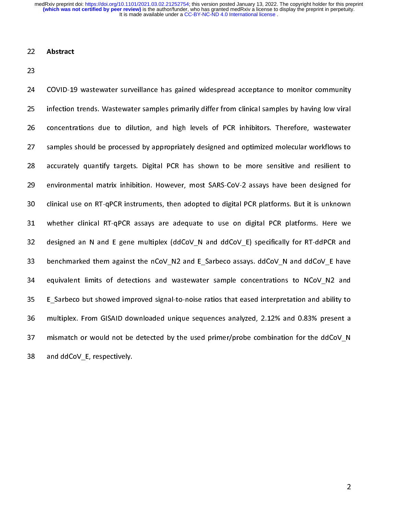22 Abstract<br>
23<br>
24 COVID-19<br>
25 infection<br>
26 concentra<br>
27 samples :<br>
28 accuratel<br>
29 environm<br>
30 clinical us<br>
28 designed<br>
32 designed 24 25 26 27 28 29 20 31 32 33 24 Covid-21 was taken an encounter and gained wide prince to perfect to monitor concentrations due to dilution, and high levels of PCR inhibitors. Therefore, wastewater samples should be processed by appropriately designed 26 concentrations due to dilution, and high levels of PCR inhibitors. Therefore, wastewater<br>27 samples should be processed by appropriately designed and optimized molecular workflows to<br>28 accurately quantify targets. Dig 27 samples should be processed by appropriately designed and optimized molecular workflows to<br>28 accurately quantify targets. Digital PCR has shown to be more sensitive and resilient to<br>29 evironmental matrix inhibition. EXECUTE IN THE PROPERT TRENDED IN A produce in a positive and resilient to<br>27 accurately quantify targets. Digital PCR has shown to be more sensitive and resilent to<br>27 cultical use on RT-qPCR instruments, then adopted to 29 environmental matrix inhibition. However, most SARS-CoV-2 assays have been designed for<br>20 clinical use on RT-qPCR instruments, then adopted to digital PCR platforms. But it is unknown<br>21 whether clinical RT-qPCR assay 29 clinical use on RT-qPCR instruments, then adopted to digital PCR platforms. But it is unknown<br>31 whether clinical RT-qPCR assays are adequate to use on digital PCR platforms. Here we<br>32 designed an N and E gene multipl 31 whether clinical RT-qPCR assays are adequate to use on digital PCR platforms. Here we<br>designed an N and E gene multiplex (ddCoV\_N and ddCoV\_E) specifically for RT-ddPCR and<br>benchmarked them against the nCoV\_N2 and E\_Sa designed an N and E gene multiplex (ddCoV\_N and ddCoV\_E) specifically for RT-ddPCR and<br>33 benchmarked them against the nCoV\_N2 and E\_Sarbeco assays. ddCoV\_N and ddCoV\_E have<br>34 equivalent limits of detections and wastewat 33 benchmarked them against the nCoV\_N2 and E\_Sarbeco assays.  $ddCov_N$  and  $ddCov_E$  have equivalent limits of detections and wastewater sample concentrations to NCoV\_N2 and E\_Sarbeco but showed improved signal-to-noise ratios <sup>2</sup><br>34 equivalent limits of detections and wastewater sample concentrations to NCoV\_N2 and<br>35 E\_Sarbeco but showed improved signal-to-noise ratios that eased interpretation and ability to<br>36 multiplex. From GISAID downloa E\_Sarbeco but showed improved signal-to-noise ratios that eased interpretation and ability to<br>multiplex. From GISAID downloaded unique sequences analyzed, 2.12% and 0.83% present a<br>mismatch or would not be detected by the 236 multiplex. From GISAID downloaded unique sequences analyzed, 2.12% and 0.83% present a<br>37 mismatch or would not be detected by the used primer/probe combination for the ddCoV\_N<br>38 and ddCoV\_E, respectively. 37 mismatch or would not be detected by the used primer/probe combination for the ddCoV\_N<br>and ddCoV\_E, respectively. and ddCoV\_E, respectively. 38 and ddCoV\_E, respectively.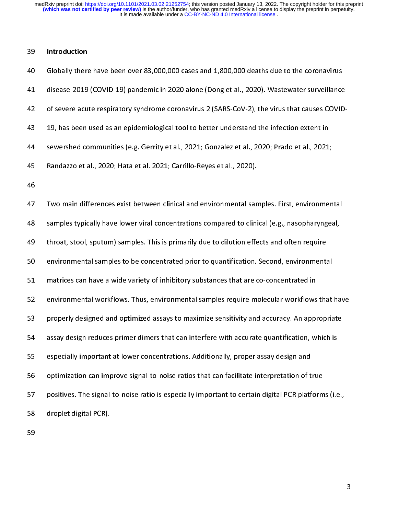| 40 | Globally there have been over 83,000,000 cases and 1,800,000 deaths due to the coronavirus           |
|----|------------------------------------------------------------------------------------------------------|
| 41 | disease-2019 (COVID-19) pandemic in 2020 alone (Dong et al., 2020). Wastewater surveillance          |
| 42 | of severe acute respiratory syndrome coronavirus 2 (SARS-CoV-2), the virus that causes COVID-        |
| 43 | 19, has been used as an epidemiological tool to better understand the infection extent in            |
| 44 | sewershed communities (e.g. Gerrity et al., 2021; Gonzalez et al., 2020; Prado et al., 2021;         |
| 45 | Randazzo et al., 2020; Hata et al. 2021; Carrillo-Reyes et al., 2020).                               |
| 46 |                                                                                                      |
| 47 | Two main differences exist between clinical and environmental samples. First, environmental          |
| 48 | samples typically have lower viral concentrations compared to clinical (e.g., nasopharyngeal,        |
| 49 | throat, stool, sputum) samples. This is primarily due to dilution effects and often require          |
| 50 | environmental samples to be concentrated prior to quantification. Second, environmental              |
| 51 | matrices can have a wide variety of inhibitory substances that are co-concentrated in                |
| 52 | environmental workflows. Thus, environmental samples require molecular workflows that have           |
| 53 | properly designed and optimized assays to maximize sensitivity and accuracy. An appropriate          |
| 54 | assay design reduces primer dimers that can interfere with accurate quantification, which is         |
| 55 | especially important at lower concentrations. Additionally, proper assay design and                  |
| 56 | optimization can improve signal-to-noise ratios that can facilitate interpretation of true           |
| 57 | positives. The signal-to-noise ratio is especially important to certain digital PCR platforms (i.e., |

throat, stool, sputum) samples. This is primarily due to dilution effects and often require<br>environmental samples to be concentrated prior to quantification. Second, environmental<br>matrices can have a wide variety of inhibi environmental samples to be concentrated prior to quantification. Second, environmenta<br>matrices can have a wide variety of inhibitory substances that are co-concentrated in<br>environmental workflows. Thus, environmental samp matrices can have a wide variety of inhibitory substances that are co-concentrated in<br>
environmental workflows. Thus, environmental samples require molecular workflows that<br>
properly designed and optimized assays to maximi environmental workflows. Thus, environmental samples require molecular workflows<br>properly designed and optimized assays to maximize sensitivity and accuracy. An appr<br>assay design reduces primer dimers that can interfere wi properly designed and optimized assays to maximize sensitivity and accuracy. An appropriate<br>assay design reduces primer dimers that can interfere with accurate quantification, which is<br>especially important at lower concent 54 assay design reduces primer dimers that can interfere with accurate quantification, which is<br>especially important at lower concentrations. Additionally, proper assay design and<br>optimization can improve signal-to-noise r ESS especially important at lower concentrations. Additionally, proper assay design and<br>optimization can improve signal-to-noise ratios that can facilitate interpretation of true<br>positives. The signal-to-noise ratio is esp 55 optimization can improve signal-to-noise ratios that can facilitate interpretation of t<br>positives. The signal-to-noise ratio is especially important to certain digital PCR platf<br>droplet digital PCR).<br>59 57 positives. The signal-to-noise ratio is especially important to certain digital PCR platform<br>droplet digital PCR).<br>59 58 droplet digital-PCR).<br>59<br>59

59<br>19 droppen digital PCR<br>19 droppen digital PCR (19 droppen digital PCR).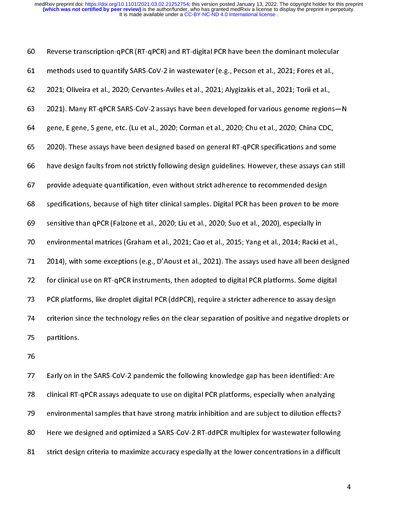| 60 | Reverse transcription-qPCR (RT-qPCR) and RT-digital PCR have been the dominant molecular           |
|----|----------------------------------------------------------------------------------------------------|
| 61 | methods used to quantify SARS-CoV-2 in wastewater (e.g., Pecson et al., 2021; Fores et al.,        |
| 62 | 2021; Oliveira et al., 2020; Cervantes-Aviles et al., 2021; Alygizakis et al., 2021; Torii et al., |
| 63 | 2021). Many RT-qPCR SARS-CoV-2 assays have been developed for various genome regions-N             |
| 64 | gene, E gene, S gene, etc. (Lu et al., 2020; Corman et al., 2020; Chu et al., 2020; China CDC,     |
| 65 | 2020). These assays have been designed based on general RT-qPCR specifications and some            |
| 66 | have design faults from not strictly following design guidelines. However, these assays can still  |
| 67 | provide adequate quantification, even without strict adherence to recommended design               |
| 68 | specifications, because of high titer clinical samples. Digital PCR has been proven to be more     |
| 69 | sensitive than qPCR (Falzone et al., 2020; Liu et al., 2020; Suo et al., 2020), especially in      |
| 70 | environmental matrices (Graham et al., 2021; Cao et al., 2015; Yang et al., 2014; Racki et al.,    |
| 71 | 2014), with some exceptions (e.g., D'Aoust et al., 2021). The assays used have all been designed   |
| 72 | for clinical use on RT-qPCR instruments, then adopted to digital PCR platforms. Some digital       |
| 73 | PCR platforms, like droplet digital PCR (ddPCR), require a stricter adherence to assay design      |
| 74 | criterion since the technology relies on the clear separation of positive and negative droplets or |
| 75 | partitions.                                                                                        |
| 76 |                                                                                                    |
| 77 | Early on in the SARS-CoV-2 pandemic the following knowledge gap has been identified: Are           |
| 78 | clinical RT-qPCR assays adequate to use on digital PCR platforms, especially when analyzing        |
| 79 | environmental samples that have strong matrix inhibition and are subject to dilution effects?      |
| 80 | Here we designed and optimized a SARS-CoV-2 RT-ddPCR multiplex for wastewater following            |

For clinical use on RT-qPCR instruments, then adopted to digital PCR platforms. Some digital<br>
PCR platforms, like droplet digital PCR (ddPCR), require a stricter adherence to assay design<br>
criterion since the technology re 22 For clinical action of clinical users of digital PCR (ddPCR), require a stricter adherence to assay design<br>27 For criterion since the technology relies on the clear separation of positive and negative droplet<br>27 partit For the componential same displaced on the clear separation of positive and negative droplet<br>partitions.<br>The prictions.<br>The pricis and the SARS-CoV-2 pandemic the following knowledge gap has been identified: Are<br>clinical Early on in the SARS-CoV-2 pandemic the following knowledge gap has been identified: Are<br>clinical RT-qPCR assays adequate to use on digital PCR platforms, especially when analyzing<br>environmental samples that have strong ma 76<br>77 Early on in<br>78 clinical RT-<br>80 Here we de<br>81 strict design 77<br>78<br>79<br>80<br>81 readed in the SARS-CoV-2 particles, especially when analyzing<br>
27 environmental samples that have strong matrix inhibition and are subject to dilution effects<br>
28 Here we designed and optimized a SARS-CoV-2 RT-ddPCR multip 28 environmental samples that have strong matrix inhibition and are subject to dilution effects<br>
28 Here we designed and optimized a SARS-CoV-2 RT-ddPCR multiplex for wastewater followin<br>
28 Strict design criteria to maxim 79 Here we designed and optimized a SARS-CoV-2 RT-ddPCR multiplex for wastewater following<br>31 strict design criteria to maximize accuracy especially at the lower concentrations in a difficult<br>31 strict design criteria to m 81 Strict design criteria to maximize accuracy especially at the lower concentrations in a difficult<br>81 Strict design criteria to maximize accuracy especially at the lower concentrations in a difficult 81 strict design criteria to maximize accuracy especially at the lower concentrations in a difficult of the lower<br>The lower concentrations in a difficult of the lower concentrations in a difficult of the lower concentratio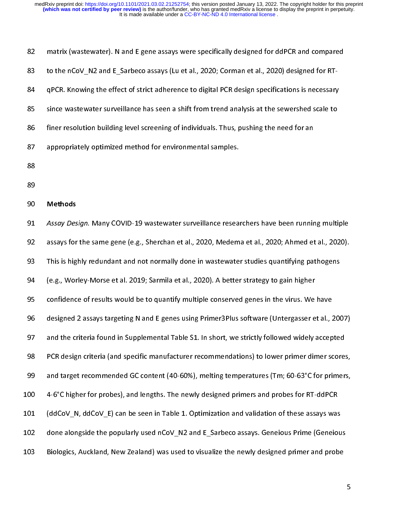| 82 | matrix (wastewater). N and E gene assays were specifically designed for ddPCR and compared      |
|----|-------------------------------------------------------------------------------------------------|
| 83 | to the nCoV_N2 and E_Sarbeco assays (Lu et al., 2020; Corman et al., 2020) designed for RT-     |
| 84 | gPCR. Knowing the effect of strict adherence to digital PCR design specifications is necessary  |
| 85 | since wastewater surveillance has seen a shift from trend analysis at the sewershed scale to    |
| 86 | finer resolution building level screening of individuals. Thus, pushing the need for an         |
| 87 | appropriately optimized method for environmental samples.                                       |
| 88 |                                                                                                 |
| 89 |                                                                                                 |
| 90 | <b>Methods</b>                                                                                  |
| 91 | Assay Design. Many COVID-19 wastewater surveillance researchers have been running multiple      |
| 92 | assays for the same gene (e.g., Sherchan et al., 2020, Medema et al., 2020; Ahmed et al., 2020) |
| 93 | This is highly redundant and not normally done in wastewater studies quantifying pathogens      |
| 94 | (e.g., Worley-Morse et al. 2019; Sarmila et al., 2020). A better strategy to gain higher        |
| 95 | confidence of results would be to quantify multiple conserved genes in the virus. We have       |

93 This is highly redundant and not normally done in wastewater studies quantifying pathogens 87 appropriately optimized method for environmental samples.<br>88<br>88 finer resolution building and the new street screening of individuals.<br>88<br>89 finer resolution building and the same gene (e.g., Sherchan et al., 2020, Mede 88<br>88<br>88 approximately optimized methods<br>87 assays for the same gene (e.g., Sherchan et al., 2020, Medem<br>83 assays for the same gene (e.g., Sherchan et al., 2020, Medem<br>84 for environmental samples in wastewate<br>84 (e.g., W 89 90 91 92 93 94 95 96 97 98 89 91 Assay Des<br>92 assays for<br>93 This is hig<br>94 (e.g., Wor<br>95 confidenc<br>96 designed<br>97 and the cr<br>98 PCR desig<br>99 and targe<br>00 4-6°C high 92 Assays for the same gene (e.g., Sherchan et al., 2020, Medema et al., 2020; Ahmed et al., 2020).<br>93 This is highly redundant and not normally done in wastewater studies quantifying pathogens<br>94 (e.g., Worley-Morse et al This is highly redundant and not normally done in wastewater studies quantifying pathogens<br>
93 This is highly redundant and not normally done in wastewater studies quantifying pathogens<br>
94 (e.g., Worley-Morse et al. 2019; 94 (e.g., Worley-Morse et al. 2019; Sarmila et al., 2020). A better strategy to gain higher<br>95 confidence of results would be to quantify multiple conserved genes in the virus. We have<br>96 designed 2 assays targeting N and confidence of results would be to quantify multiple conserved genes in the virus. We<br>designed 2 assays targeting N and E genes using Primer3Plus software (Untergasser e<br>and the criteria found in Supplemental Table S1. In s designed 2 assays targeting N and E genes using Primer3Plus software (Untergasser et al., 7<br>and the criteria found in Supplemental Table S1. In short, we strictly followed widely accep<br>PCR design criteria (and specific man 97 and the criteria found in Supplemental Table S1. In short, we strictly followed widely accepted<br>
96 PCR design criteria (and specific manufacturer recommendations) to lower primer dimer scores,<br>
99 and target recommende 97 PCR design criteria (and specific manufacturer recommendations) to lower primer dimers cores<br>99 and target recommended GC content (40-60%), melting temperatures (Tm; 60-63°C for primer<br>99 4-6°C higher for probes), and l and target recommended GC content (40-60%), melting temperatures (Tm; 60-63°C for primers,<br>
99 and target recommended GC content (40-60%), melting temperatures (Tm; 60-63°C for primers,<br>
92 (ddCoV\_N, ddCoV\_E) can be seen i 99 4-6°C higher for probes), and lengths. The newly designed primers and probes for RT-ddPCR<br>
99 (ddCoV\_N, ddCoV\_E) can be seen in Table 1. Optimization and validation of these assays was<br>
99 done alongside the popularly u 101 (ddCoV\_N, ddCoV\_E) can be seen in Table 1. Optimization and validation of these assays was<br>102 done alongside the popularly used nCoV\_N2 and E\_Sarbeco assays. Geneious Prime (Geneio<br>103 Biologics, Auckland, New Zealand 102 done alongside the popularly used nCoV\_N2 and E\_Sarbeco assays. Geneious Prime (Geneiou<br>103 Biologics, Auckland, New Zealand) was used to visualize the newly designed primer and probe<br>103 Diologics, Auckland, New Zeal 103 Biologics, Auckland, New Zealand) was used to visualize the newly designed primer and probe<br>103 Biologics, Auckland, New Zealand) was used to visualize the newly designed primer and probe  $103 \text{ g}$ iologics, Auckland, New Zealand, New Zealand) was used to visualize the newly designed primer and probe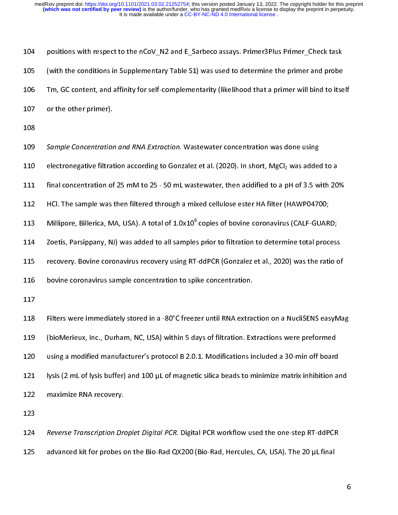| 104 | positions with respect to the nCoV_N2 and E_Sarbeco assays. Primer3Plus Primer_Check task                  |
|-----|------------------------------------------------------------------------------------------------------------|
| 105 | (with the conditions in Supplementary Table S1) was used to determine the primer and probe                 |
| 106 | Tm, GC content, and affinity for self-complementarity (likelihood that a primer will bind to itself        |
| 107 | or the other primer).                                                                                      |
| 108 |                                                                                                            |
| 109 | Sample Concentration and RNA Extraction. Wastewater concentration was done using                           |
| 110 | electronegative filtration according to Gonzalez et al. (2020). In short, MgCl <sub>2</sub> was added to a |
| 111 | final concentration of 25 mM to 25 - 50 mL wastewater, then acidified to a pH of 3.5 with 20%              |
| 112 | HCl. The sample was then filtered through a mixed cellulose ester HA filter (HAWP04700;                    |
| 113 | Millipore, Billerica, MA, USA). A total of 1.0x10 <sup>6</sup> copies of bovine coronavirus (CALF-GUARD;   |
| 114 | Zoetis, Parsippany, NJ) was added to all samples prior to filtration to determine total process            |
| 115 | recovery. Bovine coronavirus recovery using RT-ddPCR (Gonzalez et al., 2020) was the ratio of              |
| 116 | bovine coronavirus sample concentration to spike concentration.                                            |
| 117 |                                                                                                            |
| 118 | Filters were immediately stored in a -80°C freezer until RNA extraction on a NucliSENS easyMag             |
| 119 | (bioMerieux, Inc., Durham, NC, USA) within 5 days of filtration. Extractions were preformed                |
| 120 | using a modified manufacturer's protocol B 2.0.1. Modifications included a 30-min off board                |
| 121 | lysis (2 mL of lysis buffer) and 100 µL of magnetic silica beads to minimize matrix inhibition and         |
| 122 | maximize RNA recovery.                                                                                     |
| 123 |                                                                                                            |
| 124 | Reverse Transcription Droplet Digital PCR. Digital PCR workflow used the one-step RT-ddPCR                 |
| 125 | advanced kit for probes on the Bio-Rad QX200 (Bio-Rad, Hercules, CA, USA). The 20 µL final                 |
|     |                                                                                                            |
|     | 6                                                                                                          |
|     |                                                                                                            |
|     |                                                                                                            |
|     |                                                                                                            |
|     |                                                                                                            |

123<br>124 Reverse Transcription Dro<br>125 advanced kit for probes c 124<br>125 124 Reverse Transcription Droplet Digital PCR. Digital PCR workflow used the one-step RT-ddFCR<br>advanced kit for probes on the Bio-Rad QX200 (Bio-Rad, Hercules, CA, USA). The 20  $\mu$ L final  $125$  advanced kit for the Bio-Rad  $\chi$ 200 (Bio-Rad, Hercules, CA, USA). The 20  $\mu$  mass  $\mu$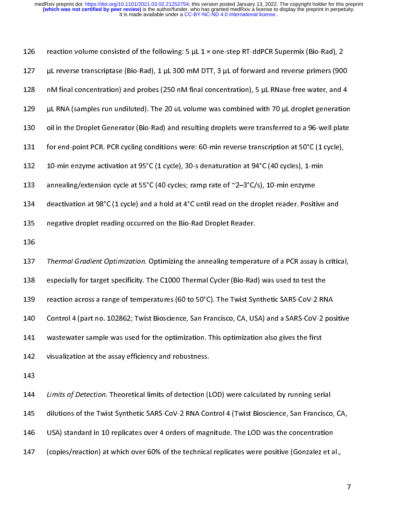127 µL reverse transcriptase (Bio-Rad), 1 µL 300 mM DTT, 3 µL of forward and reverse primers (900<br>
128 nM final concentration) and probes (250 nM final concentration), 5 µL RNase-free water, and 4<br>
129 µL RNA (samples ru 128 nM final concentration) and probes (250 nM final concentration), 5 μL RNase-free water, and 4 μL RNA (samples run undiluted). The 20 uL volume was combined with 70 μL droplet generation<br>130 oil in the Droplet Generat 129 plt RNA (samples run undiluted). The 20 ut volume was combined with 70 μt droplet generation<br>130 oil in the Droplet Generator (Bio-Rad) and resulting droplets were transferred to a 96-well plate<br>131 for end-point PCR. 130 oil in the Droplet Generator (Bio-Rad) and resulting droplets were transferred to a 96-well plate<br>131 for end-point PCR. PCR cycling conditions were: 60-min reverse transcription at 50°C (1 cycle),<br>10-min enzyme activ 131 for end-point PCR. PCR cycling conditions were: 60-min reverse transcription at 50°C (1 cycle),<br>132 10-min enzyme activation at 95°C (1 cycle), 30-s denaturation at 94°C (40 cycles), 1-min<br>133 annealing/extension cycle 132 10-min point Party Party Samily Manufel Base of Manufel Base of Algorithm at 194°C (40 cycles), 1-min<br>133 annealing/extension cycle at 55°C (40 cycles; ramp rate of  $\approx$ 2-3°C/s), 10-min enzyme<br>134 deactivation at 98°C 233 annealing/extension cycle at 55°C (40 cycles; ramp rate of ~2-3°C/s), 10-min enzyme<br>
234 deactivation at 98°C (1 cycle) and a hold at 4°C until read on the droplet reader. Positive<br>
235 negative droplet reading occurr 134 deactivation at 98°C (1 cycle) and a hold at 4°C until read on the droplet reader. Posit<br>135 negative droplet reading occurred on the Bio-Rad Droplet Reader.<br>136<br>136 Thermal Gradient Optimization. Optimizing the anneal negative droplet reading occurred on the Bio-Rad Droplet Reader.<br>
136<br>
137 Thermal Gradient Optimization. Optimizing the annealing temperature of a PCR assay is critic<br>
138 especially for target specificity. The C1000 Ther 136<br>
137 Thermal Gradient Optimization. Optimizing the annealing tempera<br>
138 especially for target specificity. The C1000 Thermal Cycler (Bio-Rad<br>
139 reaction across a range of temperatures (60 to 50°C). The Twist Sy<br>
14 137<br>137<br>138<br>139<br>140<br>141<br>142<br>143<br>145<br>146 138 especially for target specificity. The C1000 Thermal Cycler (Bio-Rad) was used to test the<br>138 especially for target specificity. The C1000 Thermal Cycler (Bio-Rad) was used to test the<br>139 reaction across a range of t 139 reaction across a range of temperatures (60 to 50°C). The Twist Synthetic SARS-CoV-2 RM<br>140 Control 4 (part no. 102862; Twist Bioscience, San Francisco, CA, USA) and a SARS-CoV-2 RM<br>141 wastewater sample was used for t 139 Control 4 (part no. 102862; Twist Bioscience, San Francisco, CA, USA) and a SARS-CoV-2 pos<br>
141 wastewater sample was used for the optimization. This optimization also gives the first<br>
143 visualization at the assay ef 141 wastewater sample was used for the optimization. This optimization also gives the first<br>
142 visualization at the assay efficiency and robustness.<br>
143<br>
144 Limits of Detection. Theoretical limits of detection (LOD) we 142 visualization at the assay efficiency and robustness.<br>
143 *Limits of Detection*. Theoretical limits of detection (LOD) were calculated by running ser<br>
144 *Limits of Detection*. Theoretical limits of detection (LOD) w 143<br>
144 Limits of Detection. Theoretical limits of detection (1<br>
145 dilutions of the Twist Synthetic SARS-CoV-2 RNA Cor<br>
146 USA) standard in 10 replicates over 4 orders of mag<br>
147 (copies/reaction) at which over 60% of 144<br>145<br>146<br>147 144 Limits of Detection. Theoretical limits of detection (LOD) were calculated by running serial<br>145 dilutions of the Twist Synthetic SARS-CoV-2 RNA Control 4 (Twist Bioscience, San Francisco<br>146 USA) standard in 10 replic 146 USA) standard in 10 replicates over 4 orders of magnitude. The LOD was the concentration<br>147 (copies/reaction) at which over 60% of the technical replicates were positive (Gonzalez et al.,<br>147 (copies/reaction) at whic 147 (copies/reaction) at which over 60% of the technical replicates were positive (Gonzalez et a<br>147

147 (copies/reaction) at which over 60% of the technical replicates were positive (Gonzalez et al.,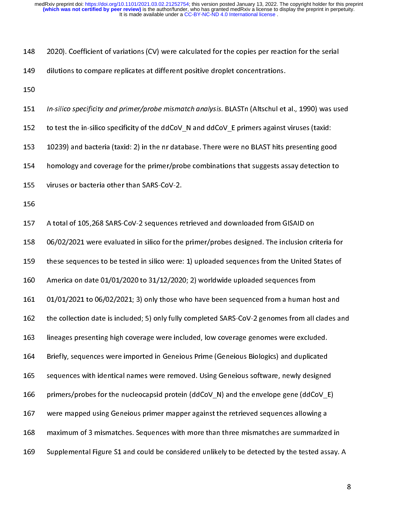| dilutions to compare replicates at different positive droplet concentrations.<br>149<br>150<br>In-silico specificity and primer/probe mismatch analysis. BLASTn (Altschul et al., 1990) was used<br>151<br>to test the in-silico specificity of the ddCoV N and ddCoV E primers against viruses (taxid:<br>152<br>10239) and bacteria (taxid: 2) in the nr database. There were no BLAST hits presenting good<br>153<br>homology and coverage for the primer/probe combinations that suggests assay detection to<br>154<br>viruses or bacteria other than SARS-CoV-2.<br>155<br>156<br>A total of 105,268 SARS-CoV-2 sequences retrieved and downloaded from GISAID on<br>157<br>06/02/2021 were evaluated in silico for the primer/probes designed. The inclusion criteria for<br>158<br>these sequences to be tested in silico were: 1) uploaded sequences from the United States of<br>159<br>America on date 01/01/2020 to 31/12/2020; 2) worldwide uploaded sequences from<br>160<br>01/01/2021 to 06/02/2021; 3) only those who have been sequenced from a human host and<br>161<br>the collection date is included; 5) only fully completed SARS-CoV-2 genomes from all clades and<br>162<br>163<br>lineages presenting high coverage were included, low coverage genomes were excluded.<br>Briefly, sequences were imported in Geneious Prime (Geneious Biologics) and duplicated<br>164<br>sequences with identical names were removed. Using Geneious software, newly designed<br>165<br>primers/probes for the nucleocapsid protein (ddCoV N) and the envelope gene (ddCoV E)<br>166<br>were mapped using Geneious primer mapper against the retrieved sequences allowing a<br>167<br>maximum of 3 mismatches. Sequences with more than three mismatches are summarized in<br>168<br>Supplemental Figure S1 and could be considered unlikely to be detected by the tested assay. A<br>169 | 148 | 2020). Coefficient of variations (CV) were calculated for the copies per reaction for the serial |   |
|------------------------------------------------------------------------------------------------------------------------------------------------------------------------------------------------------------------------------------------------------------------------------------------------------------------------------------------------------------------------------------------------------------------------------------------------------------------------------------------------------------------------------------------------------------------------------------------------------------------------------------------------------------------------------------------------------------------------------------------------------------------------------------------------------------------------------------------------------------------------------------------------------------------------------------------------------------------------------------------------------------------------------------------------------------------------------------------------------------------------------------------------------------------------------------------------------------------------------------------------------------------------------------------------------------------------------------------------------------------------------------------------------------------------------------------------------------------------------------------------------------------------------------------------------------------------------------------------------------------------------------------------------------------------------------------------------------------------------------------------------------------------------------------------------------------------------------------------------------------------------------------------------|-----|--------------------------------------------------------------------------------------------------|---|
|                                                                                                                                                                                                                                                                                                                                                                                                                                                                                                                                                                                                                                                                                                                                                                                                                                                                                                                                                                                                                                                                                                                                                                                                                                                                                                                                                                                                                                                                                                                                                                                                                                                                                                                                                                                                                                                                                                      |     |                                                                                                  |   |
|                                                                                                                                                                                                                                                                                                                                                                                                                                                                                                                                                                                                                                                                                                                                                                                                                                                                                                                                                                                                                                                                                                                                                                                                                                                                                                                                                                                                                                                                                                                                                                                                                                                                                                                                                                                                                                                                                                      |     |                                                                                                  |   |
|                                                                                                                                                                                                                                                                                                                                                                                                                                                                                                                                                                                                                                                                                                                                                                                                                                                                                                                                                                                                                                                                                                                                                                                                                                                                                                                                                                                                                                                                                                                                                                                                                                                                                                                                                                                                                                                                                                      |     |                                                                                                  |   |
|                                                                                                                                                                                                                                                                                                                                                                                                                                                                                                                                                                                                                                                                                                                                                                                                                                                                                                                                                                                                                                                                                                                                                                                                                                                                                                                                                                                                                                                                                                                                                                                                                                                                                                                                                                                                                                                                                                      |     |                                                                                                  |   |
|                                                                                                                                                                                                                                                                                                                                                                                                                                                                                                                                                                                                                                                                                                                                                                                                                                                                                                                                                                                                                                                                                                                                                                                                                                                                                                                                                                                                                                                                                                                                                                                                                                                                                                                                                                                                                                                                                                      |     |                                                                                                  |   |
|                                                                                                                                                                                                                                                                                                                                                                                                                                                                                                                                                                                                                                                                                                                                                                                                                                                                                                                                                                                                                                                                                                                                                                                                                                                                                                                                                                                                                                                                                                                                                                                                                                                                                                                                                                                                                                                                                                      |     |                                                                                                  |   |
|                                                                                                                                                                                                                                                                                                                                                                                                                                                                                                                                                                                                                                                                                                                                                                                                                                                                                                                                                                                                                                                                                                                                                                                                                                                                                                                                                                                                                                                                                                                                                                                                                                                                                                                                                                                                                                                                                                      |     |                                                                                                  |   |
|                                                                                                                                                                                                                                                                                                                                                                                                                                                                                                                                                                                                                                                                                                                                                                                                                                                                                                                                                                                                                                                                                                                                                                                                                                                                                                                                                                                                                                                                                                                                                                                                                                                                                                                                                                                                                                                                                                      |     |                                                                                                  |   |
|                                                                                                                                                                                                                                                                                                                                                                                                                                                                                                                                                                                                                                                                                                                                                                                                                                                                                                                                                                                                                                                                                                                                                                                                                                                                                                                                                                                                                                                                                                                                                                                                                                                                                                                                                                                                                                                                                                      |     |                                                                                                  |   |
|                                                                                                                                                                                                                                                                                                                                                                                                                                                                                                                                                                                                                                                                                                                                                                                                                                                                                                                                                                                                                                                                                                                                                                                                                                                                                                                                                                                                                                                                                                                                                                                                                                                                                                                                                                                                                                                                                                      |     |                                                                                                  |   |
|                                                                                                                                                                                                                                                                                                                                                                                                                                                                                                                                                                                                                                                                                                                                                                                                                                                                                                                                                                                                                                                                                                                                                                                                                                                                                                                                                                                                                                                                                                                                                                                                                                                                                                                                                                                                                                                                                                      |     |                                                                                                  |   |
|                                                                                                                                                                                                                                                                                                                                                                                                                                                                                                                                                                                                                                                                                                                                                                                                                                                                                                                                                                                                                                                                                                                                                                                                                                                                                                                                                                                                                                                                                                                                                                                                                                                                                                                                                                                                                                                                                                      |     |                                                                                                  |   |
|                                                                                                                                                                                                                                                                                                                                                                                                                                                                                                                                                                                                                                                                                                                                                                                                                                                                                                                                                                                                                                                                                                                                                                                                                                                                                                                                                                                                                                                                                                                                                                                                                                                                                                                                                                                                                                                                                                      |     |                                                                                                  |   |
|                                                                                                                                                                                                                                                                                                                                                                                                                                                                                                                                                                                                                                                                                                                                                                                                                                                                                                                                                                                                                                                                                                                                                                                                                                                                                                                                                                                                                                                                                                                                                                                                                                                                                                                                                                                                                                                                                                      |     |                                                                                                  |   |
|                                                                                                                                                                                                                                                                                                                                                                                                                                                                                                                                                                                                                                                                                                                                                                                                                                                                                                                                                                                                                                                                                                                                                                                                                                                                                                                                                                                                                                                                                                                                                                                                                                                                                                                                                                                                                                                                                                      |     |                                                                                                  |   |
|                                                                                                                                                                                                                                                                                                                                                                                                                                                                                                                                                                                                                                                                                                                                                                                                                                                                                                                                                                                                                                                                                                                                                                                                                                                                                                                                                                                                                                                                                                                                                                                                                                                                                                                                                                                                                                                                                                      |     |                                                                                                  |   |
|                                                                                                                                                                                                                                                                                                                                                                                                                                                                                                                                                                                                                                                                                                                                                                                                                                                                                                                                                                                                                                                                                                                                                                                                                                                                                                                                                                                                                                                                                                                                                                                                                                                                                                                                                                                                                                                                                                      |     |                                                                                                  |   |
|                                                                                                                                                                                                                                                                                                                                                                                                                                                                                                                                                                                                                                                                                                                                                                                                                                                                                                                                                                                                                                                                                                                                                                                                                                                                                                                                                                                                                                                                                                                                                                                                                                                                                                                                                                                                                                                                                                      |     |                                                                                                  |   |
|                                                                                                                                                                                                                                                                                                                                                                                                                                                                                                                                                                                                                                                                                                                                                                                                                                                                                                                                                                                                                                                                                                                                                                                                                                                                                                                                                                                                                                                                                                                                                                                                                                                                                                                                                                                                                                                                                                      |     |                                                                                                  |   |
|                                                                                                                                                                                                                                                                                                                                                                                                                                                                                                                                                                                                                                                                                                                                                                                                                                                                                                                                                                                                                                                                                                                                                                                                                                                                                                                                                                                                                                                                                                                                                                                                                                                                                                                                                                                                                                                                                                      |     |                                                                                                  |   |
|                                                                                                                                                                                                                                                                                                                                                                                                                                                                                                                                                                                                                                                                                                                                                                                                                                                                                                                                                                                                                                                                                                                                                                                                                                                                                                                                                                                                                                                                                                                                                                                                                                                                                                                                                                                                                                                                                                      |     |                                                                                                  |   |
|                                                                                                                                                                                                                                                                                                                                                                                                                                                                                                                                                                                                                                                                                                                                                                                                                                                                                                                                                                                                                                                                                                                                                                                                                                                                                                                                                                                                                                                                                                                                                                                                                                                                                                                                                                                                                                                                                                      |     |                                                                                                  |   |
|                                                                                                                                                                                                                                                                                                                                                                                                                                                                                                                                                                                                                                                                                                                                                                                                                                                                                                                                                                                                                                                                                                                                                                                                                                                                                                                                                                                                                                                                                                                                                                                                                                                                                                                                                                                                                                                                                                      |     |                                                                                                  | 8 |
|                                                                                                                                                                                                                                                                                                                                                                                                                                                                                                                                                                                                                                                                                                                                                                                                                                                                                                                                                                                                                                                                                                                                                                                                                                                                                                                                                                                                                                                                                                                                                                                                                                                                                                                                                                                                                                                                                                      |     |                                                                                                  |   |
|                                                                                                                                                                                                                                                                                                                                                                                                                                                                                                                                                                                                                                                                                                                                                                                                                                                                                                                                                                                                                                                                                                                                                                                                                                                                                                                                                                                                                                                                                                                                                                                                                                                                                                                                                                                                                                                                                                      |     |                                                                                                  |   |
|                                                                                                                                                                                                                                                                                                                                                                                                                                                                                                                                                                                                                                                                                                                                                                                                                                                                                                                                                                                                                                                                                                                                                                                                                                                                                                                                                                                                                                                                                                                                                                                                                                                                                                                                                                                                                                                                                                      |     |                                                                                                  |   |
|                                                                                                                                                                                                                                                                                                                                                                                                                                                                                                                                                                                                                                                                                                                                                                                                                                                                                                                                                                                                                                                                                                                                                                                                                                                                                                                                                                                                                                                                                                                                                                                                                                                                                                                                                                                                                                                                                                      |     |                                                                                                  |   |
|                                                                                                                                                                                                                                                                                                                                                                                                                                                                                                                                                                                                                                                                                                                                                                                                                                                                                                                                                                                                                                                                                                                                                                                                                                                                                                                                                                                                                                                                                                                                                                                                                                                                                                                                                                                                                                                                                                      |     |                                                                                                  |   |
|                                                                                                                                                                                                                                                                                                                                                                                                                                                                                                                                                                                                                                                                                                                                                                                                                                                                                                                                                                                                                                                                                                                                                                                                                                                                                                                                                                                                                                                                                                                                                                                                                                                                                                                                                                                                                                                                                                      |     |                                                                                                  |   |
|                                                                                                                                                                                                                                                                                                                                                                                                                                                                                                                                                                                                                                                                                                                                                                                                                                                                                                                                                                                                                                                                                                                                                                                                                                                                                                                                                                                                                                                                                                                                                                                                                                                                                                                                                                                                                                                                                                      |     |                                                                                                  |   |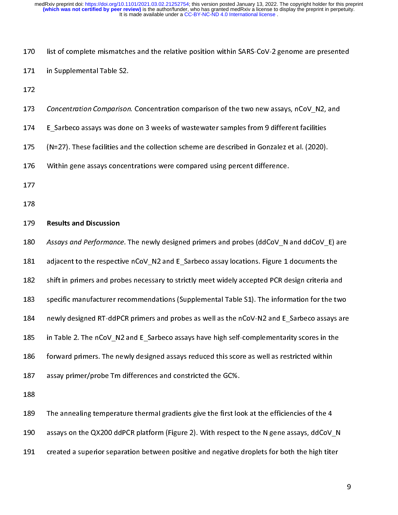| 170 | list of complete mismatches and the relative position within SARS-CoV-2 genome are presented   |   |
|-----|------------------------------------------------------------------------------------------------|---|
| 171 | in Supplemental Table S2.                                                                      |   |
| 172 |                                                                                                |   |
| 173 | Concentration Comparison. Concentration comparison of the two new assays, nCoV N2, and         |   |
| 174 | E Sarbeco assays was done on 3 weeks of wastewater samples from 9 different facilities         |   |
| 175 | (N=27). These facilities and the collection scheme are described in Gonzalez et al. (2020).    |   |
| 176 | Within gene assays concentrations were compared using percent difference.                      |   |
| 177 |                                                                                                |   |
| 178 |                                                                                                |   |
| 179 | <b>Results and Discussion</b>                                                                  |   |
| 180 | Assays and Performance. The newly designed primers and probes (ddCoV N and ddCoV E) are        |   |
| 181 | adjacent to the respective nCoV N2 and E Sarbeco assay locations. Figure 1 documents the       |   |
| 182 | shift in primers and probes necessary to strictly meet widely accepted PCR design criteria and |   |
| 183 | specific manufacturer recommendations (Supplemental Table S1). The information for the two     |   |
| 184 | newly designed RT-ddPCR primers and probes as well as the nCoV-N2 and E Sarbeco assays are     |   |
| 185 | in Table 2. The nCoV N2 and E Sarbeco assays have high self-complementarity scores in the      |   |
| 186 | forward primers. The newly designed assays reduced this score as well as restricted within     |   |
| 187 | assay primer/probe Tm differences and constricted the GC%.                                     |   |
| 188 |                                                                                                |   |
| 189 | The annealing temperature thermal gradients give the first look at the efficiencies of the 4   |   |
| 190 | assays on the QX200 ddPCR platform (Figure 2). With respect to the N gene assays, ddCoV N      |   |
| 191 | created a superior separation between positive and negative droplets for both the high titer   |   |
|     |                                                                                                |   |
|     |                                                                                                | 9 |
|     |                                                                                                |   |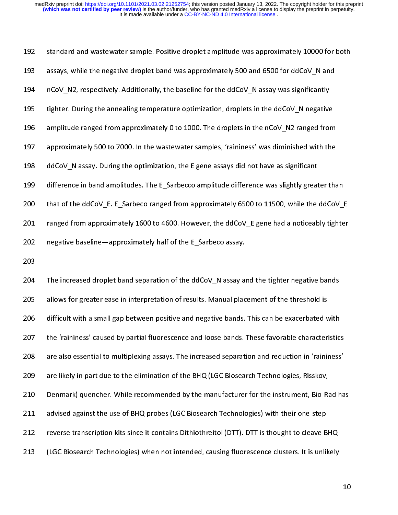192 assays, while the negative droplet band was approximately 500 and 6500 for ddCoV\_N and<br>
194 nCoV\_N2, respectively. Additionally, the baseline for the ddCoV\_N assay was significantly<br>
195 tighter. During the annealing temp The negative dropped in the negative dropped in the negative optimization, droplets in the ddCoV\_N negative<br>
193 tighter. During the annealing temperature optimization, droplets in the ddCoV\_N negative<br>
193 approximately 5 194 194 not a meaning temperature optimization, droplets in the ddCoV\_N negative<br>
195 amplitude ranged from approximately 0 to 1000. The droplets in the nCoV\_N2 ranged from<br>
197 approximately 500 to 7000. In the wastewater 2013 The increased droplet band separation of the ddCoV\_N assay aid the nCoV\_M2 ranged from<br>2019 approximately 500 to 7000. In the wastewater samples, 'raininess' was diminished with the<br>2019 ddCoV\_N assay. During the opt 2013<br>
197 approximately 500 to 7000. In the wastewater samples, 'raininess' was diminished with the<br>
198 ddCoV\_N assay. During the optimization, the E gene assays did not have as significant<br>
199 difference in band amplitu 1988 dCoV\_N assay. During the optimization, the E gene assays did not have as significant<br>1998 difference in band amplitudes. The E\_Sarbecco amplitude difference was slightly greater that<br>1998 that of the ddCoV\_E. E\_Sarbec

difference in band amplitudes. The E\_Sarbecco amplitude difference was slightly great<br>200 that of the ddCoV\_E. E\_Sarbeco ranged from approximately 6500 to 11500, while the<br>201 ranged from approximately 1600 to 4600. Howeve the ddCoV\_E. E\_Sarbeco ranged from approximately 6500 to 11500, while the ddCoV\_I<br>
ranged from approximately 1600 to 4600. However, the ddCoV\_E gene had a noticeably tighte<br>
negative baseline—approximately half of the E\_Sa 201 ranged from approximately 1600 to 4600. However, the ddCoV\_E gene had a noticeably tighter<br>202 negative baseline—approximately half of the E\_Sarbeco assay.<br>203<br>204 The increased droplet band separation of the ddCoV\_N a 1982<br>
2022 negative baseline—approximately half of the E\_Sarbeco assay.<br>
2023<br>
2014 The increased droplet band separation of the ddCoV\_N assay and the tighter negative bands<br>
2016 allows for greater ease in interpretation 203<br>
203<br>
202 The increased droplet band separation of the ddCoV\_N assay and<br>
205 allows for greater ease in interpretation of results. Manual plac<br>
206 difficult with a small gap between positive and negative bands.<br>
207 204<br>205<br>206<br>207<br>208<br>209<br>210<br>211<br>212<br>212 205 allows for greater ease in interpretation of results. Manual placement of the threshold is<br>206 difficult with a small gap between positive and negative bands. This can be exacerbated with<br>2027 the 'raininess' caused by 2020 allows for a small gap between positive and negative bands. This can be exacerbated v<br>206<sup>2</sup> the 'raininess' caused by partial fluorescence and loose bands. These favorable character<br>208<sup>2</sup> are also essential to multi 207 the 'raininess' caused by partial fluorescence and loose bands. These favorable characteristics<br>208 are also essential to multiplexing assays. The increased separation and reduction in 'raininess<br>209 are likely in part 2023 are also essential to multiplexing assays. The increased separation and reduction in 'raininess'<br>2093 are likely in part due to the elimination of the BHQ (LGC Biosearch Technologies, Risskov,<br>2103 Denmark) quencher. are likely in part due to the elimination of the BHQ (LGC Biosearch Technologies, Risskov,<br>
210 Denmark) quencher. While recommended by the manufacturer for the instrument, Bio-Rad ha<br>
211 advised against the use of BHQ pr Denmark) quencher. While recommended by the manufacturer for the instrument, Bio-Randovised against the use of BHQ probes (LGC Biosearch Technologies) with their one-step<br>reverse transcription kits since it contains Dithio 211 advised against the use of BHQ probes (LGC Biosearch Technologies) with their one-step<br>212 reverse transcription kits since it contains Dithiothreitol (DTT). DTT is thought to cleave BHQ<br>213 (LGC Biosearch Technologies 212 reverse transcription kits since it contains Dithiothreitol (DTT). DTT is thought to cleave B<br>213 (LGC Biosearch Technologies) when not intended, causing fluorescence clusters. It is unlil 213 (LGC Biosearch Technologies) when not intended, causing fluorescence clusters. It is unlikely<br>213 (LGC Biosearch Technologies) when not intended, causing fluorescence clusters. It is unlikely  $213$  (LGC Biosearch Technologies) when not intended, causing fluorescence clusters. It is unlikely internal  $\alpha$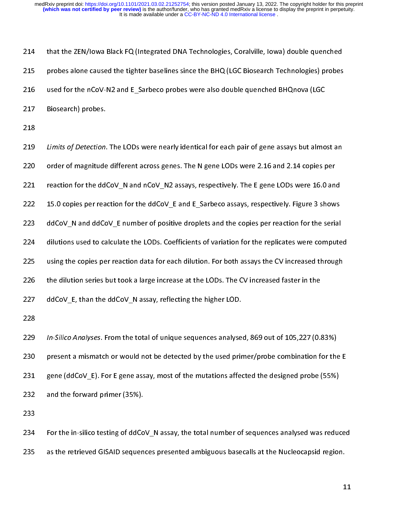probes alone caused the tighter baselines since the BHQ (LGC Biosearch Technologies) probes<br>216 used for the nCoV-N2 and E\_Sarbeco probes were also double quenched BHQnova (LGC<br>217 Biosearch) probes.<br>218 Limits of Detectio 216 probes along the nCoV-N2 and E\_Sarbeco probes were also double quenched BHQ nova (LGC<br>217 Biosearch) probes.<br>218 Limits of Detection. The LODs were nearly identical for each pair of gene assays but almost an<br>220 Limits 217 Biosearch) probes.<br>
218 Limits of Detection. The LODs were nearly identical for each pair of gene assays but almo<br>
220 order of magnitude different across genes. The N gene LODs were 2.16 and 2.14 copies probes reactio 218<br>
219 Limits of Detection.<br>
220 order of magnitude<br>
221 reaction for the dd<br>
222 15.0 copies per rea<br>
223 ddCoV\_N and ddCc<br>
224 dilutions used to ca<br>
225 using the copies pe<br>
226 the dilution series k<br>
227 ddCoV\_E, than ---<br>219<br>220<br>221<br>222<br>223<br>224<br>225<br>225<br>227 Example of betacle of the LODs were nearly identical for deelt pair of gene assays but almost an<br>order of magnitude different across genes. The N gene LODs were 2.16 and 2.14 copies per<br>reaction for the ddCoV\_N and nCoV\_N2 reaction for the ddCoV\_N and nCoV\_N2 assays, respectively. The E gene LODs were 16.0 and 222 15.0 copies per reaction for the ddCoV\_E and E\_Sarbeco assays, respectively. Figure 3 show<br>ddCoV\_N and ddCoV\_E number of positive 222 15.0 copies per reaction for the ddCoV\_E and E\_Sarbeco assays, respectively. Figure 3 shows<br>223 ddCoV\_N and ddCoV\_E number of positive droplets and the copies per reaction for the serial<br>224 dilutions used to calculate 223 ddCoV\_N and ddCoV\_E number of positive droplets and the copies per reaction for the serial<br>224 dilutions used to calculate the LODs. Coefficients of variation for the replicates were compute<br>225 using the copies per re dilutions used to calculate the LODs. Coefficients of variation for the replicates were compute<br>
225 using the copies per reaction data for each dilution. For both assays the CV increased through<br>
226 the dilution series b using the copies per reaction data for each dilution. For both assays the CV increased through<br>226 the dilution series but took a large increase at the LODs. The CV increased faster in the<br>227 ddCoV\_E, than the ddCoV\_N ass the dilution series but took a large increase at the LODs. The CV increased faster in the<br>
ddCoV\_E, than the ddCoV\_N assay, reflecting the higher LOD.<br>
228<br>
In-Silico Analyses. From the total of unique sequences analysed, 227 ddCoV\_E, than the ddCoV\_N assay, reflecting the higher LOD.<br>228 th-Silico Analyses. From the total of unique sequences analysed, 869 out of 105,227 (0.<br>230 present a mismatch or would not be detected by the used primer 228<br>
229 In-Silico Analyses. From the total of unique sequences analyse<br>
229 In-Silico Analyses. From the total of unique sequences analyse<br>
230 present a mismatch or would not be detected by the used prir<br>
231 gene (ddCoV 229<br>230<br>231<br>232<br>232<br>233<br>234 In Since Analyses. From the coal of unique sequences analysed, 609 out of 105,227 (0.83%)<br>
229 In present a mismatch or would not be detected by the used primer/probe combination for the<br>
231 gene (ddCoV\_E). For E gene ass 231 gene (ddCoV\_E). For E gene assay, most of the mutations affected the designed probe (55%)<br>
232 and the forward primer (35%).<br>
233<br>
234 For the in-silico testing of ddCoV\_N assay, the total number of sequences analysed 232 and the forward primer (35%).<br>233 For the in-silico testing of ddCoV\_N assay, the total number of sequences analysed was reduced as the retrieved GISAID sequences presented ambiguous basecalls at the Nucleocapsid regi 233<br>234 For the in-silico testing of ddCo<br>235 as the retrieved GISAID sequen 234<br>235

235 as the retrieved GISAID sequences presented ambiguous basecalls at the Nucleocapsid region.<br>235 as the retrieved GISAID sequences presented ambiguous basecalls at the Nucleocapsid region. 235 as the retrieved GISAID sequences presented ambiguous basecalls at the Nucleocapsid region.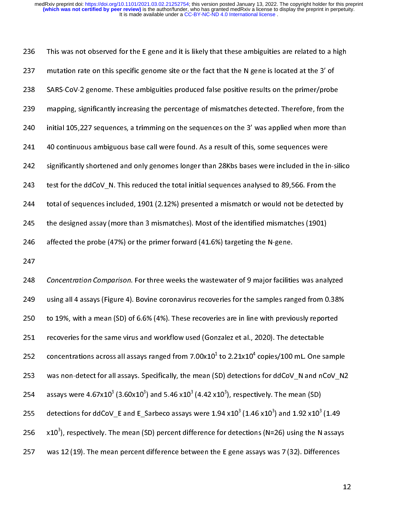mutation rate on this specific genome site or the fact that the N gene is located at the 3' of<br>
SARS-CoV-2 genome. These ambiguities produced false positive results on the primer/probe<br>
mapping, significantly increasing th SARS-CoV-2 genome. These ambiguities produced false positive results on the primer/probe<br>
239 mapping, significantly increasing the percentage of mismatches detected. Therefore, from t<br>
240 continuous ambiguous base call 239 mapping, significantly increasing the percentage of mismatches detected. Therefore, from the initial 105,227 sequences, a trimming on the sequences on the 3' was applied when more than 105,227 sequences, a trimming on 240 initial 105,227 sequences, a trimming on the sequences on the 3' was applied when more than<br>
241 do continuous ambiguous base call were found. As a result of this, some sequences were<br>
242 significantly shortened and 241<br>241 do continuous ambiguous base call were found. As a result of this, some sequences were<br>242 significantly shortened and only genomes longer than 28Kbs bases were included in the in-silic<br>243 test for the ddCoV\_N. Th 242 significantly shortened and only genomes longer than 28Kbs bases were included in the in<br>243 test for the ddCoV\_N. This reduced the total initial sequences analysed to 89,566. From the total of sequences included, 1901

243 test for the ddCoV\_N. This reduced the total initial sequences analysed to 89,566. From the<br>244 total of sequences included, 1901 (2.12%) presented a mismatch or would not be detected by<br>245 the designed assay (more t 244<br>
244 total of sequences included, 1901 (2.12%) presented a mismatch or would not be detected t<br>
245 the designed assay (more than 3 mismatches). Most of the identified mismatches (1901)<br>
246 affected the probe (47%) or 245 the designed assay (more than 3 mismatches). Most of the identified mismatches (1901)<br>
246 affected the probe (47%) or the primer forward (41.6%) targeting the N-gene.<br>
247<br>
247 Concentration Comparison. For three wee affected the probe (47%) or the primer forward (41.6%) targeting the N-gene.<br>
247<br>
248 Concentration Comparison. For three weeks the wastewater of 9 major facilities was anal<br>
249 using all 4 assays (Figure 4). Bovine cor 247<br>
247<br>
248 Concentration Comparison. For three weeks the wastewater of 9 major facilities<br>
249 using all 4 assays (Figure 4). Bovine coronavirus recoveries for the samples ran<br>
250 to 19%, with a mean (5D) of 6.6% (4%) 248<br>249<br>250<br>251<br>252<br>253<br>254<br>255<br>255<br>257 248 Concentration Comparison. For three weeks the wastewater of 9 major facilities was analyzed<br>249 using all 4 assays (Figure 4). Bovine coronavirus recoveries for the samples ranged from 0.38%<br>250 to 19%, with a mean (S 250 to 19%, with a mean (SD) of 6.6% (4%). These recoveries are in line with previously reported<br>251 recoveries for the same virus and workflow used (Gonzalez et al., 2020). The detectable<br>252 concentrations across all as 251 recoveries for the same virus and workflow used (Gonzalez et al., 2020). The detectable<br>
252 concentrations across all assays ranged from 7.00x10<sup>1</sup> to 2.21x10<sup>4</sup> copies/100 mL. One samp<br>
253 was non-detect for all as 252 concentrations across all assays ranged from 7.00x10<sup>1</sup> to 2.21x10<sup>4</sup> copies/100 mL. One s<br>253 was non-detect for all assays. Specifically, the mean (SD) detections for ddCoV\_N and nC<br>254 assays were 4.67x10<sup>3</sup> (3.60x concentrations across all assays ranged from 7.00x10<br>was non-detect for all assays. Specifically, the mean (S<br>assays were 4.67x10<sup>3</sup> (3.60x10<sup>3</sup>) and 5.46 x10<sup>3</sup> (4.42 x<br>detections for ddCoV\_E and E\_Sarbeco assays were 1.<br> concentrations across all assays ranged from 7.00x10 to 2.21x10 copies/100 mL. One sample<br>253 was non-detect for all assays. Specifically, the mean (SD) detections for ddCoV\_N and nCoV\_N2<br>254 assays were 4.67x10<sup>3</sup> (3.60x 254 assays were  $4.67 \times 10^{-3}$  (3.60x10<sup>3</sup>) and 5.46 x10<sup>3</sup> (4.42 x10<sup>3</sup>), respectively. The mean (SD)<br>255 detections for ddCoV\_E and E\_Sarbeco assays were  $1.94 \times 10^{3}$  ( $1.46 \times 10^{3}$ ) and  $1.92 \times 10^{3}$  ( $1.49$ <br>256 x1 assays were 4.67x10<br>detections for ddCoV<br>x10<sup>3</sup>), respectively. Th<br>was 12 (19). The mea  $(3.60x10 -$ <br> $E$  and  $E_3$ <br>ne mean  $(5$ <br>n percent ) and 5.46 x10<sup>-</sup><br>Sarbeco assays<br>SD) percent diff<br>difference bety 254 assays were 4.6/X10° (3.60X10°) and 5.46 X10° (4.42 X10°), respectively. The mean (SD)<br>255 detections for ddCoV\_E and E\_Sarbeco assays were 1.94 x10<sup>3</sup> (1.46 x10<sup>3</sup>) and 1.92 x10<sup>3</sup><br>256 x10<sup>3</sup>), respectively. The mean detections for ddCoV\_E and E\_Sarbeco assays were 1.94 x10<sup>3</sup><br>x10<sup>3</sup>), respectively. The mean (SD) percent difference for dete<br>was 12 (19). The mean percent difference between the E gene<br>was 12 (19).  $(1.46 \times 10^{-3})$ <br>ections (N=<br>e assays wa 255 detections for datov\_t and E\_Sarbeco assays were  $1.94 \times 10^{-1}$  (1.46  $\times 10^{-3}$ ) and  $1.92 \times 10^{-1}$  (1.49<br>256  $\times 10^{-3}$ ), respectively. The mean (SD) percent difference for detections (N=26) using the N assay.<br>257 w x10°), respectively. The mean (SD) percent difference for detections (N=26) using the N assays<br>257 was 12 (19). The mean percent difference between the E gene assays was 7 (32). Differences<br>1

 $257.$  We have  $12$  (19). The mean percent difference between the E generators  $7$  (32). Differences between the E generators was  $7$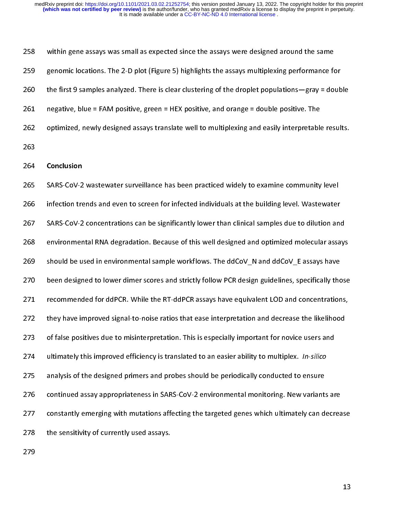genomic locations. The 2-D plot (Figure 5) highlights the assays multiplexing performance for the first 9 samples analyzed. There is clear clustering of the droplet populations—gray = domegative, blue = FAM positive, green

269 the first 9 samples analyzed. There is clear clustering of the droplet populations—gray = doub<br>
261 negative, blue = FAM positive, green = HEX positive, and orange = double positive. The<br>
262 optimized, newly designed 261 the first 9 samples analyzed material statement of the first property population (1997) and the optimized, newly designed assays translate well to multiplexing and easily interpretable results.<br>263 conclusion<br>265 SARS-262 optimized, newly designed assays translate well to multiplexing and easily interpretable<br>263<br>264 **Conclusion**<br>265 SARS-CoV-2 wastewater surveillance has been practiced widely to examine community<br>265 SARS-CoV-2 wastewa 263<br>263 SARS-CoV-2 wastewater surveillance has been practiced widely to examine community level<br>266 infection trends and even to screen for infected individuals at the building level. Wastewater<br>267 SARS-CoV-2 concentratio 264<br>265<br>265<br>266<br>267<br>268<br>269<br>270<br>271<br>272 264 Conclusion<br>265 SARS-CoV-2<br>266 infection tre<br>267 SARS-CoV-2<br>268 environmer<br>269 should be u<br>270 been design<br>271 recommenc<br>272 they have in<br>273 of false posi 265 Infection trends and even to screen for infected individuals at the building level. Wastewater<br>267 SARS-CoV-2 concentrations can be significantly lower than clinical samples due to dilution an<br>268 environmental RNA deg SARS-CoV-2 concentrations can be significantly lower than clinical samples due to dilution and<br>
268 environmental RNA degradation. Because of this well designed and optimized molecular assa<br>
269 should be used in environme environmental RNA degradation. Because of this well designed and optimized molecular assays<br>269 should be used in environmental sample workflows. The ddCoV\_N and ddCoV\_E assays have<br>271 been designed to lower dimer scores 268 should be used in environmental sample workflows. The ddCoV\_N and ddCoV\_E assays have<br>270 been designed to lower dimer scores and strictly follow PCR design guidelines, specifically those<br>272 recommended for ddPCR. Whi <sup>270</sup> been designed to lower dimer scores and strictly follow PCR design guidelines, specifically the<br><sup>271</sup> recommended for ddPCR. While the RT-ddPCR assays have equivalent LOD and concentration<br><sup>272</sup> they have improved si 271 recommended for ddPCR. While the RT-ddPCR assays have equivalent LOD and concentrations,<br>272 they have improved signal-to-noise ratios that ease interpretation and decrease the likelihood<br>273 of false positives due to 272 recommended for data-band and an anti-band for depth of an anomic concerns the likelihood<br>273 of false positives due to misinterpretation. This is especially important for novice users and<br>274 ultimately this improved of false positives due to misinterpretation. This is especially important for novice users and<br>274 ultimately this improved efficiency is translated to an easier ability to multiplex. *In-silico*<br>275 analysis of the design 274 of false positive due to minimal personal master positive positive to misinter the state in a distributed with the designed primers and probes should be periodically conducted to ensure<br>275 analysis of the designed pri 274 ultimately this improved efficiency is translated to an easier ability to multiplex. In-since<br>276 analysis of the designed primers and probes should be periodically conducted to ensure<br>277 constantly emerging with muta 276 continued assay appropriateness in SARS-CoV-2 environmental monitoring. New variants<br>
277 constantly emerging with mutations affecting the targeted genes which ultimately can do<br>
278 the sensitivity of currently used a 277 constantly emerging with mutations affecting the targeted genes which ultimately can decreate<br>the sensitivity of currently used assays.<br>279 278 the sensitivity of currently used assays.<br>279 278 the sensitivity of currently used assays.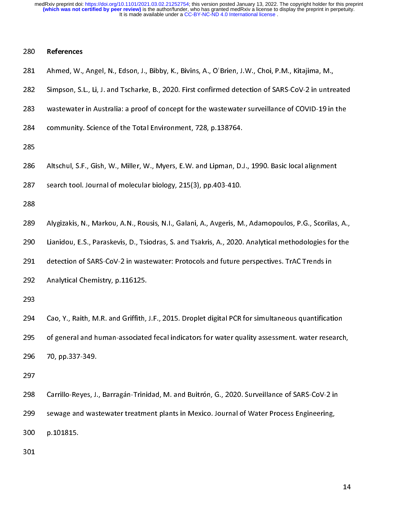- 
- 281 Ahmed, W.,<br>282 Simpson, S.I<br>283 wastewater<br>284 community.<br>285 Altschul, S.F<br>287 search tool.<br>288 Alygizakis, N<br>290 Lianidou, E. 281 Ahmed, W., Angel, N., Edson, J., Bibby, K., Bivins, A., O'Brien, J.W., Choi, P.M., Kitajima, M.,<br>282 Simpson, S.L., Li, J. and Tscharke, B., 2020. First confirmed detection of SARS-CoV-2 in untre<br>283 wastewater in Aust
- 282 Simpson, S.P., S. L., Calc., Limitation, S.P. 2020, 2020, 2020, 2020, 2020, 2020, 2020, 2020, 2020, 2020, 2020, 2020, 2020, 2020, 2020, 2020, 2020, 2020, 2020, 2020, 2020, 2020, 2020, 2020, 2020, 2020, 2020, 2020, 2020
- 
- 
- 
- ---<br>286<br>287<br>288<br>289<br>290<br>291<br>292<br>293<br>294<br>295

- community. Science of the Total Environment, 728, p.138764.<br>
285<br>
286 Altschul, S.F., Gish, W., Miller, W., Myers, E.W. and Lipman, D.J., 1990. Basic local alignment<br>
287 search tool. Journal of molecular biology, 215(3),
- 
- 
- 
- 
- 285<br>286 Altschul, S.F., Gish, W., Miller, W., Myers, E.W. and Lipman, D.<br>287 search tool. Journal of molecular biology, 215(3), pp.403-410.<br>288 Alygizakis, N., Markou, A.N., Rousis, N.I., Galani, A., Avgeris, M<br>290 Lianido search tool. Journal of molecular biology, 215(3), pp.403-410.<br>
288<br>
Alygizakis, N., Markou, A.N., Rousis, N.I., Galani, A., Avgeris, M., Adamopoulos, P.G., Scorilas,<br>
280 Lianidou, E.S., Paraskevis, D., Tsiodras, S. and T 288<br>
288 Alygizakis, N., Markou, A.N., Rousis, N.I., Galani, A., Avgeris, M<br>
290 Lianidou, E.S., Paraskevis, D., Tsiodras, S. and Tsakris, A., 2020.<br>
291 detection of SARS-CoV-2 in wastewater: Protocols and future<br>
292 Ana
- 
- 
- 

289<br>290<br>291<br>292<br>293<br>294<br>295<br>295<br>297<br>298 Lanidou, E.S., Paraskevis, D., Tsiodras, S. and Tsakris, A., 2020. Analytical methodologies for the<br>291 detection of SARS-CoV-2 in wastewater: Protocols and future perspectives. TrAC Trends in<br>292 Analytical Chemistry, p.1 291 Liania of SARS-CoV-2 in wastewater: Protocols and future perspectives. TrAC Trends in<br>292 Analytical Chemistry, p.116125.<br>293 Cao, Y., Raith, M.R. and Griffith, J.F., 2015. Droplet digital PCR for simultaneous quantifi 292 Analytical Chemistry, p.116125.<br>293 Cao, Y., Raith, M.R. and Griffith, J.F., 2015. Droplet digital PCR for simultaneous quantification of general and human-associated fecal indicators for water quality assessment. wate 293<br>
294 Cao, Y., Raith, M.R. and Griffith,<br>
295 of general and human-associate<br>
296 70, pp.337-349.<br>
297<br>
298 Carrillo-Reyes, J., Barragán-Trinic<br>
299 sewage and wastewater treatme<br>
300 p.101815. ---<br>294<br>295<br>296<br>297<br>298<br>299<br>300<br>301 of general and human-associated fecal indicators for water quality assessment. water research<br>
295 Carrillo-Reyes, J., Barragán-Trinidad, M. and Buitrón, G., 2020. Surveillance of SARS-CoV-2 in<br>
299 Carrillo-Reyes, J., Bar 296 of general and human-associated fecal indicators for an and space indicators for general and pair of general indicators for general services for sewage and wastewater treatment plants in Mexico. Journal of Water Proces 297<br>298 Carrillo-Reyes, J.<br>299 sewage and was<br>300 p.101815.<br>301 298<br>299<br>300<br>301 2098 Sewage and wastewater treatment plants in Mexico. Journal of Water Process Engineering,<br>200<br>201<br>301  $299$  p.101815.<br>301 301<br>301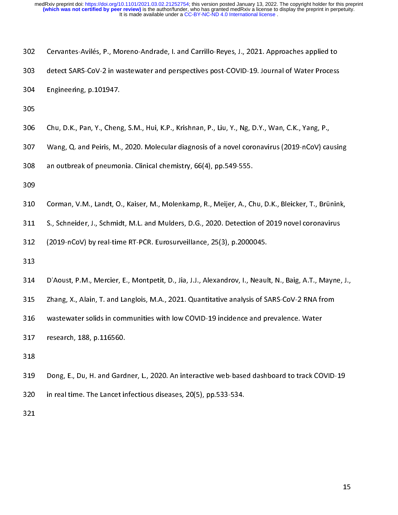| 302 | Cervantes-Avilés, P., Moreno-Andrade, I. and Carrillo-Reyes, J., 2021. Approaches applied to        |
|-----|-----------------------------------------------------------------------------------------------------|
| 303 | detect SARS-CoV-2 in wastewater and perspectives post-COVID-19. Journal of Water Process            |
| 304 | Engineering, p. 101947.                                                                             |
| 305 |                                                                                                     |
| 306 | Chu, D.K., Pan, Y., Cheng, S.M., Hui, K.P., Krishnan, P., Liu, Y., Ng, D.Y., Wan, C.K., Yang, P.,   |
| 307 | Wang, Q. and Peiris, M., 2020. Molecular diagnosis of a novel coronavirus (2019-nCoV) causir        |
| 308 | an outbreak of pneumonia. Clinical chemistry, 66(4), pp.549-555.                                    |
| 309 |                                                                                                     |
| 310 | Corman, V.M., Landt, O., Kaiser, M., Molenkamp, R., Meijer, A., Chu, D.K., Bleicker, T., Brüninl    |
| 311 | S., Schneider, J., Schmidt, M.L. and Mulders, D.G., 2020. Detection of 2019 novel coronavirus       |
| 312 | (2019-nCoV) by real-time RT-PCR. Eurosurveillance, 25(3), p.2000045.                                |
| 313 |                                                                                                     |
| 314 | D'Aoust, P.M., Mercier, E., Montpetit, D., Jia, J.J., Alexandrov, I., Neault, N., Baig, A.T., Mayne |

- 306<br>307<br>308<br>309<br>310<br>311<br>311<br>312<br>313
- 307 Cornan, V.M., Landt, O., Kaiser, M., Molenkan, P., 25, 19, 26, 2019, 19, 2019-nCoV) cat<br>308 an outbreak of pneumonia. Clinical chemistry, 66(4), pp.549-555.<br>309<br>310 Corman, V.M., Landt, O., Kaiser, M., Molenkamp, R., M
- 

- 308<br>308 an outbreak of pneumonia. Clinical chemistry, 66(4), pp.549-555.<br>309<br>310 Corman, V.M., Landt, O., Kaiser, M., Molenkamp, R., Meijer, A., Chu, D.K., Bleicker, T., Brünink,<br>311 S., Schneider, J., Schmidt, M.L. and Mu 309<br>310 Corman, V.M., Landt, O., Kaiser, M., Molenkamp, R., Meijer, A., C.<br>311 S., Schneider, J., Schmidt, M.L. and Mulders, D.G., 2020. Detectior<br>312 (2019-nCoV) by real-time RT-PCR. Eurosurveillance, 25(3), p.20000<br>313<br>3
- 

310<br>311<br>312<br>313<br>313<br>314<br>315<br>316<br>317<br>318 S., Schneider, J., Schmidt, M.L. and Mulders, D.G., 2020. Detection of 2019 novel coronavirus<br>
312 (2019-nCoV) by real-time RT-PCR. Eurosurveillance, 25(3), p.2000045.<br>
313<br>
314 D'Aoust, P.M., Mercier, E., Montpetit, D., J (2019-nCoV) by real-time RT-PCR. Eurosurveillance, 25(3), p.2000045.<br>
313<br>
314 D'Aoust, P.M., Mercier, E., Montpetit, D., Jia, J.J., Alexandrov, I., Neault, N., Baig, A.T., Mayne,<br>
315 Zhang, X., Alain, T. and Langlois, M. 212 (2012-012), P.P. Martin P.M. March P.M. Martin P.M. (2014), p.p. (1), p.1200041<br>313 (2019), D.M. Mercier, E., Montpetit, D., Jia, J.J., Alexandrov, I., Neaul<br>315 Zhang, X., Alain, T. and Langlois, M.A., 2021. Quantitat 314<br>315<br>316<br>317<br>318<br>318<br>320<br>320 314 D'Aoust, P.M., Mercier, E., Montpetit, D., Jia, J.J., Alexandrov, I., Neault, N., Baig, A.T., Mayne, J.,<br>215 Zhang, X., Alain, T. and Langlois, M.A., 2021. Quantitative analysis of SARS-CoV-2 RNA from<br>316 wastewater so 213 *Entring, Marting Mathemary, Parting Mathemary, Parting Mathemary Amery Parting Mathemary Amery Parting Mathemary Parting Mathemary Presenth, 188, p.116560.<br>318 Bong, E., Du, H. and Gardner, L., 2020. An interactive we* 317 research, 188, p.116560.<br>318 Dong, E., Du, H. and Gardner, L., 2020. An interactive web-based dashboard to track CO<br>320 in real time. The Lancet infectious diseases, 20(5), pp.533-534.<br>321 318<br>319 Dong, E., Du, H. and Gard<br>320 in real time. The Lancet ir<br>321 319<br>320<br>321  $320$  in real time. The Lancet infectious diseases, 20(5), pp.533-534.  $321$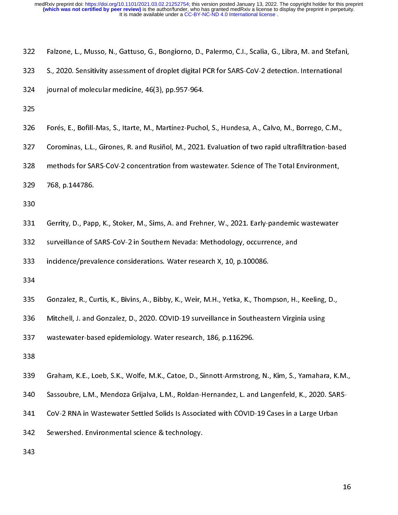- 
- 
- 
- 
- 5., 2020. Sensitivity assessment of droplet digital PCR for SARS-CoV-2 detection. International<br>324 journal of molecular medicine, 46(3), pp.957-964.<br>325 Forés, E., Bofill-Mas, S., Itarte, M., Martínez-Puchol, S., Hundesa, 324 journal of molecular medicine, 46(3), pp.957-964.<br>325<br>526 Forés, E., Bofill-Mas, S., Itarte, M., Martínez-Puchol, S., Hundesa, A., Calvo, M., Borrego, C.M.,<br>327 Corominas, L.L., Girones, R. and Rusiñol, M., 2021. Evalu
- 
- 
- 
- 
- 
- 
- 325<br>
326 Forés, E., Bofill-Mas, S., Itarte, M., Martínez-Pucho<br>
327 Corominas, L.L., Girones, R. and Rusiñol, M., 2021.<br>
328 methods for SARS-CoV-2 concentration from wast<br>
339 768, p.144786.<br>
330 Gerrity, D., Papp, K., St 326<br>327<br>328<br>329<br>330<br>331<br>332<br>332<br>333 330<br>
331 Gerrity, D., Pap<br>
332 surveillance of !<br>
333 incidence/preva<br>
334<br>
335 Gonzalez, R., Cu<br>
336 Mitchell, J. and<br>
337 wastewater-bas<br>
338 Graham, K.E., Lo 331<br>332<br>333<br>334<br>335<br>335<br>336<br>337<br>338<br>338
- 
- 327 Corominas, L.L., Girones, R. and Rusiñol, M., 2021. Evaluation of two rapid ultrafiltration-based<br>328 methods for SARS-CoV-2 concentration from wastewater. Science of The Total Environment,<br>329 768, p.144786.<br>330<br>331 G 328 methods for SARS-CoV-2 concentration from wastewater. Science of The Total Environment,<br>329 768, p.144786.<br>330<br>330 Gerrity, D., Papp, K., Stoker, M., Sims, A. and Frehner, W., 2021. Early-pandemic wastewater<br>332 Gerrit 768, p.144786.<br>330<br>330<br>331 Gerrity, D., Papp, K., Stoker, M., Sims, A. and Frehner, W., 2021. Early-pandemic wastewater<br>332 surveillance of SARS-CoV-2 in Southern Nevada: Methodology, occurrence, and<br>333 incidence/prevalen 333 incidence/prevalence considerations. Water research X, 10, p.100086.<br>334<br>335 Gonzalez, R., Curtis, K., Bivins, A., Bibby, K., Weir, M.H., Yetka, K., Thompson, H.,<br>336 Mitchell, J. and Gonzalez, D., 2020. COVID-19 surve 334<br>
335 Gonzalez, R., Curtis, K., Bivins, A., Bibby, K., Weir, M.H., Yetka, K., Thom<br>
336 Mitchell, J. and Gonzalez, D., 2020. COVID-19 surveillance in Southeast<br>
337 wastewater-based epidemiology. Water research, 186, p. 335<br>335<br>336<br>337<br>338<br>339<br>340<br>341<br>342
- 

- 
- 
- 
- surveillance of SARS-CoV-2 in Southern Nevada: Methodology, occurrence, and<br>
incidence/prevalence considerations. Water research X, 10, p.100086.<br>
334<br>
Gonzalez, R., Curtis, K., Bivins, A., Bibby, K., Weir, M.H., Yetka, K. 336 Mitchell, J. and Gonzalez, D., 2020. COVID-19 surveillance in Southeastern Virginia using<br>337 wastewater-based epidemiology. Water research, 186, p.116296.<br>338 Graham, K.E., Loeb, S.K., Wolfe, M.K., Catoe, D., Sinnottwastewater-based epidemiology. Water research, 186, p.116296.<br>338<br>Graham, K.E., Loeb, S.K., Wolfe, M.K., Catoe, D., Sinnott-Armstrong, N., Kim, S., Yamahar<br>340 Sassoubre, L.M., Mendoza Grijalva, L.M., Roldan-Hernandez, L. 338<br>339 Graham, K.E., Loeb, S.K., Wolfe, M.K., Catoe, D., Sinnott-Armstron,<br>340 Sassoubre, L.M., Mendoza Grijalva, L.M., Roldan-Hernandez, L. and<br>341 CoV-2 RNA in Wastewater Settled Solids is Associated with COVID-<br>342 Sew 339<br>340<br>341<br>342<br>343 340 Sassoubre, L.M., Mendoza Grijalva, L.M., Roldan-Hernandez, L. and Langenfeld, K., 2020. SARS-<br>341 CoV-2 RNA in Wastewater Settled Solids is Associated with COVID-19 Cases in a Large Urban<br>342 Sewershed. Environmental s
- 342 Sewershed. Environmental science & technology.<br>343<br>The Covid-19 Cases in a Large Urban Covid-19 Cases in a Large Urban Covid-19 Cases in a Large Urban Covid-19 C 342 Sewershed. Environmental science & technology.
-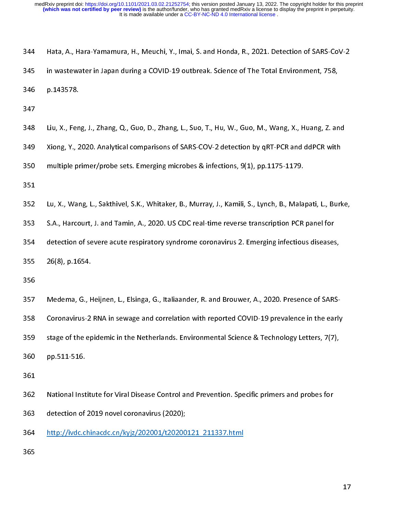| in wastewater in Japan during a COVID-19 outbreak. Science of The Total Environment, 758,<br>345<br>346<br>p.143578.<br>347<br>Liu, X., Feng, J., Zhang, Q., Guo, D., Zhang, L., Suo, T., Hu, W., Guo, M., Wang, X., Huang, Z. and<br>348<br>349<br>Xiong, Y., 2020. Analytical comparisons of SARS-COV-2 detection by qRT-PCR and ddPCR with<br>multiple primer/probe sets. Emerging microbes & infections, 9(1), pp.1175-1179.<br>350<br>351<br>352<br>Lu, X., Wang, L., Sakthivel, S.K., Whitaker, B., Murray, J., Kamili, S., Lynch, B., Malapati, L., Burke,<br>S.A., Harcourt, J. and Tamin, A., 2020. US CDC real-time reverse transcription PCR panel for<br>353<br>detection of severe acute respiratory syndrome coronavirus 2. Emerging infectious diseases,<br>354<br>26(8), p. 1654.<br>355<br>356<br>Medema, G., Heijnen, L., Elsinga, G., Italiaander, R. and Brouwer, A., 2020. Presence of SARS-<br>357<br>358<br>Coronavirus-2 RNA in sewage and correlation with reported COVID-19 prevalence in the early<br>stage of the epidemic in the Netherlands. Environmental Science & Technology Letters, 7(7),<br>359<br>360<br>pp.511-516.<br>361<br>362<br>National Institute for Viral Disease Control and Prevention. Specific primers and probes for<br>detection of 2019 novel coronavirus (2020);<br>363<br>http://ivdc.chinacdc.cn/kyjz/202001/t20200121 211337.html<br>364<br>365 | 344 | Hata, A., Hara-Yamamura, H., Meuchi, Y., Imai, S. and Honda, R., 2021. Detection of SARS-CoV-2 |    |
|----------------------------------------------------------------------------------------------------------------------------------------------------------------------------------------------------------------------------------------------------------------------------------------------------------------------------------------------------------------------------------------------------------------------------------------------------------------------------------------------------------------------------------------------------------------------------------------------------------------------------------------------------------------------------------------------------------------------------------------------------------------------------------------------------------------------------------------------------------------------------------------------------------------------------------------------------------------------------------------------------------------------------------------------------------------------------------------------------------------------------------------------------------------------------------------------------------------------------------------------------------------------------------------------------------------------------------------------------------------------------------------------------------|-----|------------------------------------------------------------------------------------------------|----|
|                                                                                                                                                                                                                                                                                                                                                                                                                                                                                                                                                                                                                                                                                                                                                                                                                                                                                                                                                                                                                                                                                                                                                                                                                                                                                                                                                                                                          |     |                                                                                                |    |
|                                                                                                                                                                                                                                                                                                                                                                                                                                                                                                                                                                                                                                                                                                                                                                                                                                                                                                                                                                                                                                                                                                                                                                                                                                                                                                                                                                                                          |     |                                                                                                |    |
|                                                                                                                                                                                                                                                                                                                                                                                                                                                                                                                                                                                                                                                                                                                                                                                                                                                                                                                                                                                                                                                                                                                                                                                                                                                                                                                                                                                                          |     |                                                                                                |    |
|                                                                                                                                                                                                                                                                                                                                                                                                                                                                                                                                                                                                                                                                                                                                                                                                                                                                                                                                                                                                                                                                                                                                                                                                                                                                                                                                                                                                          |     |                                                                                                |    |
|                                                                                                                                                                                                                                                                                                                                                                                                                                                                                                                                                                                                                                                                                                                                                                                                                                                                                                                                                                                                                                                                                                                                                                                                                                                                                                                                                                                                          |     |                                                                                                |    |
|                                                                                                                                                                                                                                                                                                                                                                                                                                                                                                                                                                                                                                                                                                                                                                                                                                                                                                                                                                                                                                                                                                                                                                                                                                                                                                                                                                                                          |     |                                                                                                |    |
|                                                                                                                                                                                                                                                                                                                                                                                                                                                                                                                                                                                                                                                                                                                                                                                                                                                                                                                                                                                                                                                                                                                                                                                                                                                                                                                                                                                                          |     |                                                                                                |    |
|                                                                                                                                                                                                                                                                                                                                                                                                                                                                                                                                                                                                                                                                                                                                                                                                                                                                                                                                                                                                                                                                                                                                                                                                                                                                                                                                                                                                          |     |                                                                                                |    |
|                                                                                                                                                                                                                                                                                                                                                                                                                                                                                                                                                                                                                                                                                                                                                                                                                                                                                                                                                                                                                                                                                                                                                                                                                                                                                                                                                                                                          |     |                                                                                                |    |
|                                                                                                                                                                                                                                                                                                                                                                                                                                                                                                                                                                                                                                                                                                                                                                                                                                                                                                                                                                                                                                                                                                                                                                                                                                                                                                                                                                                                          |     |                                                                                                |    |
|                                                                                                                                                                                                                                                                                                                                                                                                                                                                                                                                                                                                                                                                                                                                                                                                                                                                                                                                                                                                                                                                                                                                                                                                                                                                                                                                                                                                          |     |                                                                                                |    |
|                                                                                                                                                                                                                                                                                                                                                                                                                                                                                                                                                                                                                                                                                                                                                                                                                                                                                                                                                                                                                                                                                                                                                                                                                                                                                                                                                                                                          |     |                                                                                                |    |
|                                                                                                                                                                                                                                                                                                                                                                                                                                                                                                                                                                                                                                                                                                                                                                                                                                                                                                                                                                                                                                                                                                                                                                                                                                                                                                                                                                                                          |     |                                                                                                |    |
|                                                                                                                                                                                                                                                                                                                                                                                                                                                                                                                                                                                                                                                                                                                                                                                                                                                                                                                                                                                                                                                                                                                                                                                                                                                                                                                                                                                                          |     |                                                                                                |    |
|                                                                                                                                                                                                                                                                                                                                                                                                                                                                                                                                                                                                                                                                                                                                                                                                                                                                                                                                                                                                                                                                                                                                                                                                                                                                                                                                                                                                          |     |                                                                                                |    |
|                                                                                                                                                                                                                                                                                                                                                                                                                                                                                                                                                                                                                                                                                                                                                                                                                                                                                                                                                                                                                                                                                                                                                                                                                                                                                                                                                                                                          |     |                                                                                                |    |
|                                                                                                                                                                                                                                                                                                                                                                                                                                                                                                                                                                                                                                                                                                                                                                                                                                                                                                                                                                                                                                                                                                                                                                                                                                                                                                                                                                                                          |     |                                                                                                |    |
|                                                                                                                                                                                                                                                                                                                                                                                                                                                                                                                                                                                                                                                                                                                                                                                                                                                                                                                                                                                                                                                                                                                                                                                                                                                                                                                                                                                                          |     |                                                                                                |    |
|                                                                                                                                                                                                                                                                                                                                                                                                                                                                                                                                                                                                                                                                                                                                                                                                                                                                                                                                                                                                                                                                                                                                                                                                                                                                                                                                                                                                          |     |                                                                                                |    |
|                                                                                                                                                                                                                                                                                                                                                                                                                                                                                                                                                                                                                                                                                                                                                                                                                                                                                                                                                                                                                                                                                                                                                                                                                                                                                                                                                                                                          |     |                                                                                                |    |
|                                                                                                                                                                                                                                                                                                                                                                                                                                                                                                                                                                                                                                                                                                                                                                                                                                                                                                                                                                                                                                                                                                                                                                                                                                                                                                                                                                                                          |     |                                                                                                |    |
|                                                                                                                                                                                                                                                                                                                                                                                                                                                                                                                                                                                                                                                                                                                                                                                                                                                                                                                                                                                                                                                                                                                                                                                                                                                                                                                                                                                                          |     |                                                                                                |    |
|                                                                                                                                                                                                                                                                                                                                                                                                                                                                                                                                                                                                                                                                                                                                                                                                                                                                                                                                                                                                                                                                                                                                                                                                                                                                                                                                                                                                          |     |                                                                                                | 17 |
|                                                                                                                                                                                                                                                                                                                                                                                                                                                                                                                                                                                                                                                                                                                                                                                                                                                                                                                                                                                                                                                                                                                                                                                                                                                                                                                                                                                                          |     |                                                                                                |    |
|                                                                                                                                                                                                                                                                                                                                                                                                                                                                                                                                                                                                                                                                                                                                                                                                                                                                                                                                                                                                                                                                                                                                                                                                                                                                                                                                                                                                          |     |                                                                                                |    |
|                                                                                                                                                                                                                                                                                                                                                                                                                                                                                                                                                                                                                                                                                                                                                                                                                                                                                                                                                                                                                                                                                                                                                                                                                                                                                                                                                                                                          |     |                                                                                                |    |
|                                                                                                                                                                                                                                                                                                                                                                                                                                                                                                                                                                                                                                                                                                                                                                                                                                                                                                                                                                                                                                                                                                                                                                                                                                                                                                                                                                                                          |     |                                                                                                |    |
|                                                                                                                                                                                                                                                                                                                                                                                                                                                                                                                                                                                                                                                                                                                                                                                                                                                                                                                                                                                                                                                                                                                                                                                                                                                                                                                                                                                                          |     |                                                                                                |    |
|                                                                                                                                                                                                                                                                                                                                                                                                                                                                                                                                                                                                                                                                                                                                                                                                                                                                                                                                                                                                                                                                                                                                                                                                                                                                                                                                                                                                          |     |                                                                                                |    |
|                                                                                                                                                                                                                                                                                                                                                                                                                                                                                                                                                                                                                                                                                                                                                                                                                                                                                                                                                                                                                                                                                                                                                                                                                                                                                                                                                                                                          |     |                                                                                                |    |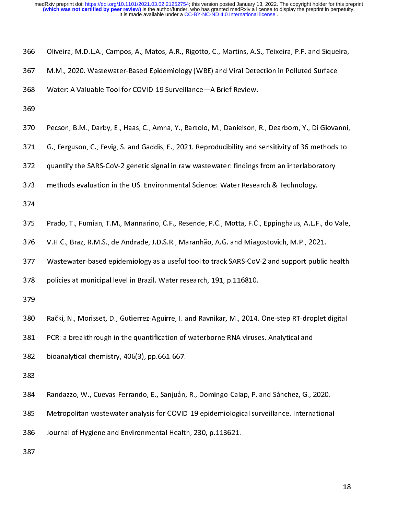|  |  |  |  |  |  | 366 — Oliveira, M.D.L.A., Campos, A., Matos, A.R., Rigotto, C., Martins, A.S., Teixeira, P.F. and Siqueira, |  |
|--|--|--|--|--|--|-------------------------------------------------------------------------------------------------------------|--|
|  |  |  |  |  |  |                                                                                                             |  |

- 
- 
- 
- 
- M.M., 2020. Wastewater-Based Epidemiology (WBE) and Viral Detection in Polluted Surface<br>
368 Water: A Valuable Tool for COVID-19 Surveillance —A Brief Review.<br>
369<br>
369 Pecson, B.M., Darby, E., Haas, C., Amha, Y., Bartolo, 368 Water: A Valuable Tool for COVID-19 Surveillance —A Brief Review.<br>369<br>370 Pecson, B.M., Darby, E., Haas, C., Amha, Y., Bartolo, M., Danielson, R., Dearborn, Y., Di Giovar<br>371 G., Ferguson, C., Fevig, S. and Gaddis, E., 369<br>369<br>368 Pecson, B.M., Darby, E., Haas, C., Amha, Y., Bartolo, M., Danielson, I<br>371 G., Ferguson, C., Fevig, S. and Gaddis, E., 2021. Reproducibility and :<br>372 quantify the SARS-CoV-2 genetic signal in raw wastewater: f 370<br>371<br>372<br>373<br>374<br>375<br>376<br>377<br>378
- 
- 
- 
- 
- 
- 371 G., Ferguson, C., Fevig, S. and Gaddis, E., 2021. Reproducibility and sensitivity of 36 methods to<br>372 quantify the SARS-CoV-2 genetic signal in raw wastewater: findings from an interlaboratory<br>373 methods evaluation i 372 quantify the SARS-CoV-2 genetic signal in raw wastewater: findings from an interlaboratory<br>373 methods evaluation in the US. Environmental Science: Water Research & Technology.<br>374<br>375 Prado, T., Fumian, T.M., Mannarin 373 methods evaluation in the US. Environmental Science: Water Research & Technology.<br>374<br>375 Prado, T., Fumian, T.M., Mannarino, C.F., Resende, P.C., Motta, F.C., Eppinghaus, A.L.F., do V.H.C., Braz, R.M.S., de Andrade, J 374<br>
375 Prado, T., Fumian, T.M., Mannarino, C.F., Resende, P.C., Motta, F.C., Eppinghaus, A.L.F<br>
376 V.H.C., Braz, R.M.S., de Andrade, J.D.S.R., Maranhão, A.G. and Miagostovich, M.P., 202<br>
377 Wastewater-based epidemiolog 375<br>376<br>377<br>378<br>380<br>381<br>381<br>382<br>383 V. H.C., Braz, R.M.S., de Andrade, J.D.S.R., Maranhão, A.G. and Miagostovich, M.P., 2021.<br>
377 Wastewater-based epidemiology as a useful tool to track SARS-CoV-2 and support public health<br>
378 policies at municipal level i 377 Wastewater-based epidemiology as a useful tool to track SARS-CoV-2 and support public<br>378 policies at municipal level in Brazil. Water research, 191, p.116810.<br>379<br>880 Rački, N., Morisset, D., Gutierrez-Aguirre, I. and
- 
- 

378 policies at municipal level in Brazil. Water research, 191, p.116810.<br>379<br>Rački, N., Morisset, D., Gutierrez-Aguirre, I. and Ravnikar, M., 2014. One-step RT-droplet digital<br>381 PCR: a breakthrough in the quantification

- 379<br>
379<br>
380 Rački, N., Morisset, D., Gutierrez-Aguirre, I. and Ravnikar, M., 2014.<br>
381 PCR: a breakthrough in the quantification of waterborne RNA viruse<br>
382 bioanalytical chemistry, 406(3), pp.661-667.<br>
383<br>
384 Randa 380<br>381<br>381<br>382<br>383<br>384<br>385<br>385
- 
- 
- 382 bioanalytical chemistry, 406(3), pp.661-667.<br>383<br>Randazzo, W., Cuevas-Ferrando, E., Sanjuán, R., Domingo-Calap, P. and Sánchez, G., 3<br>Netropolitan wastewater analysis for COVID-19 epidemiological surveillance. Interna<br> 383<br>
384 Randazzo, W., Cuevas-Ferrando, E., Sanjuán,<br>
385 Metropolitan wastewater analysis for COVID<br>
386 Journal of Hygiene and Environmental Health<br>
387 384<br>385<br>386<br>387
- PCR: a breakthrough in the quantification of waterborne RNA viruses. Analytical and<br>
382 bioanalytical chemistry, 406(3), pp.661-667.<br>
383<br>
384 Randazzo, W., Cuevas-Ferrando, E., Sanjuán, R., Domingo-Calap, P. and Sánchez, 385 Metropolitan wastewater analysis for COVID-19 epidemiological surveillance. Internationa<br>386 Journal of Hygiene and Environmental Health, 230, p.113621.<br>387

386 Journal of Hygiene and Environmental Health, 230, p.113621.<br>387  $387$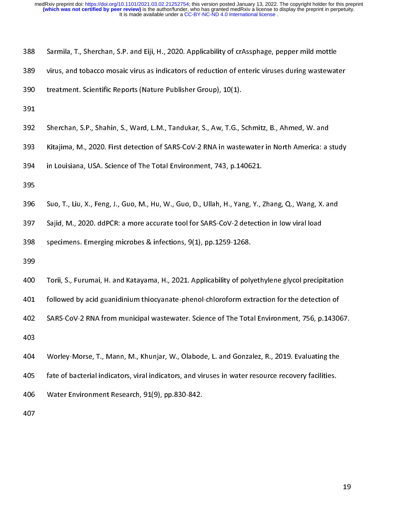|  | 388 |  |  |  |  |  |  | 3   Sarmila, T., Sherchan, S.P. and Eiji, H., 2020. Applicability of crAssphage, pepper mild mottle |
|--|-----|--|--|--|--|--|--|-----------------------------------------------------------------------------------------------------|
|--|-----|--|--|--|--|--|--|-----------------------------------------------------------------------------------------------------|

- 
- 
- 
- 
- 1999<br>1889 virus, and tobacco mosaic virus as indicators of reduction of enteric viruses during wastewat<br>1892 Sherchan, S.P., Shahin, S., Ward, L.M., Tandukar, S., Aw, T.G., Schmitz, B., Ahmed, W. and<br>1893 Sherchan, S.P., S reatment. Scientific Reports (Nature Publisher Group), 10(1).<br>
391<br>
392 Sherchan, S.P., Shahin, S., Ward, L.M., Tandukar, S., Aw, T.G., Schmitz, B., Ahmed, W. and<br>
393 Kitajima, M., 2020. First detection of SARS-CoV-2 RNA
- 
- 
- 
- 

- 
- 391<br>391 Sherchan, S.P., Shahin, S., Ward, L.M., Tandukar, S., Aw, T.G., S.<br>393 Kitajima, M., 2020. First detection of SARS-CoV-2 RNA in waste<br>394 in Louisiana, USA. Science of The Total Environment, 743, p.14<br>395 Suo, T., 392<br>393<br>394<br>395<br>396<br>397<br>398<br>398<br>399<br>400 393 Kitajima, M., 2020. First detection of SARS-CoV-2 RNA in wastewater in North America: a s<br>394 in Louisiana, USA. Science of The Total Environment, 743, p.140621.<br>395 Suo, T., Liu, X., Feng, J., Guo, M., Hu, W., Guo, D.
- 
- 394 In Louisiana, USA. Science of The Total Environment, 743, p.140621.<br>395 Suo, T., Liu, X., Feng, J., Guo, M., Hu, W., Guo, D., Ullah, H., Yang, Y., Zhang, Q., Wang, X. and<br>397 Suo, T., Liu, X., Feng, J., Guo, M., Hu, W.

Sample 1958<br>195 Suo, T., Liu, X., Feng, J., Guo, M., Hu, W., Guo, D., Ullah, H., Yang, Y., 3<br>197 Sajid, M., 2020. ddPCR: a more accurate tool for SARS-CoV-2 detectio<br>198 specimens. Emerging microbes & infections, 9(1), pp. 396<br>397<br>398<br>398<br>400<br>401<br>402<br>403<br>404 Sajid, M., 2020. ddPCR: a more accurate tool for SARS-CoV-2 detection in low viral load<br>
specimens. Emerging microbes & infections, 9(1), pp.1259-1268.<br>
399<br>
Torii, S., Furumai, H. and Katayama, H., 2021. Applicability of specimens. Emerging microbes & infections, 9(1), pp.1259-1268.<br>399<br>399<br>400 Torii, S., Furumai, H. and Katayama, H., 2021. Applicability of polyethylene glycol precip<br>401 followed by acid guanidinium thiocyanate-phenol-chlo 399<br>399<br>399 Torii, S., Furumai, H. and Katayama, H., 2021. Applicability of poly<br>401 followed by acid guanidinium thiocyanate-phenol-chloroform ext<br>3ARS-CoV-2 RNA from municipal wastewater. Science of The Tota<br>403<br>404 Worl 400<br>401<br>402<br>403<br>404<br>405<br>406<br>407 401 followed by acid guanidinium thiocyanate-phenol-chloroform extraction for the detection of<br>402 SARS-CoV-2 RNA from municipal wastewater. Science of The Total Environment, 756, p.14306;<br>403<br>403 Worley-Morse, T., Mann, M 402<br>
402 SARS-CoV-2 RNA from municipal wastewater. Science of The Total Environment, 756, p.1430<br>
403<br>
404 Worley-Morse, T., Mann, M., Khunjar, W., Olabode, L. and Gonzalez, R., 2019. Evaluating the<br>
405 fate of bacterial 403<br>404 Worley-Morse, T., Mann, M., Khunjar, W., Olabode, L. and Gonzalez, R., 2019. Evaluating the<br>405 factorial indicators, viral indicators, and viruses in water resource recovery facilities.<br>406 Water Environment Resea 404<br>405<br>406<br>407 405 fate of bacterial indicators, viral indicators, and viruses in water resource recovery facilities.<br>406 Water Environment Research, 91(9), pp.830-842.<br>407 406 Water Environment Research, 91(9), pp.830-842.<br>407 407<br>407<br> Water Environment Research, 91(9), pp.830-842.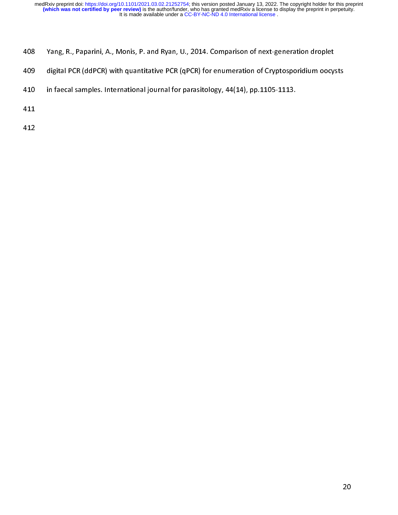- 
- digital PCR (ddPCR) with quantitative PCR (qPCR) for enumeration of Cryptosporidium oocy:<br>
in faecal samples. International journal for parasitology, 44(14), pp.1105-1113.<br>
411<br>
412
- 410 in faecal samples. International journal for parasitology, 44(14), pp.1105-1113.<br>411<br>412 411<br>411<br>412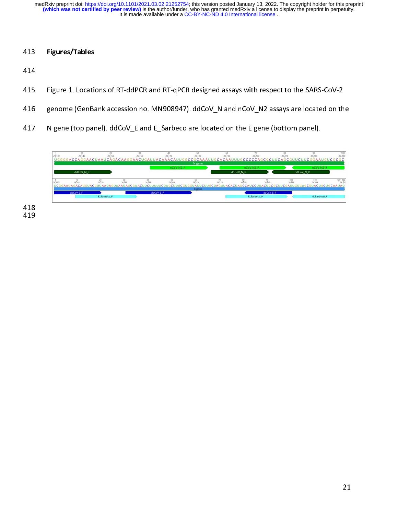## 413 Figures/Tables

414

- 415 Figure 1. Locations of RT-ddPCR and RT-qPCR designed assays with respect to the SARS-CoV-2
- 416 genome (GenBank accession no. MN908947). ddCoV N and nCoV N2 assays are located on the
- 417 N gene (top panel). ddCoV\_E and E\_Sarbeco are located on the E gene (bottom panel).



−±∪<br>419 719<br>119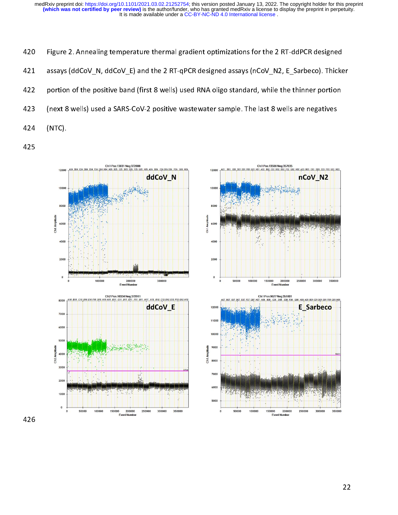420 Figure 2. Annealing temperature thermal gradient optimizations for the 2 RT-ddPCR designed 421 assays (ddCoV\_N, ddCoV\_E) and the 2 RT-qPCR designed assays (nCoV\_N2, E\_Sarbeco). Thicker 422 portion of the positive band (first 8 wells) used RNA oligo standard, while the thinner portion 423 (next 8 wells) used a SARS-CoV-2 positive wastewater sample. The last 8 wells are negatives 424 (NTC).

425

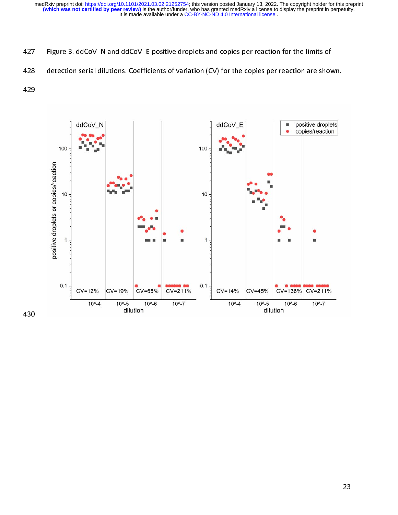- 
- 

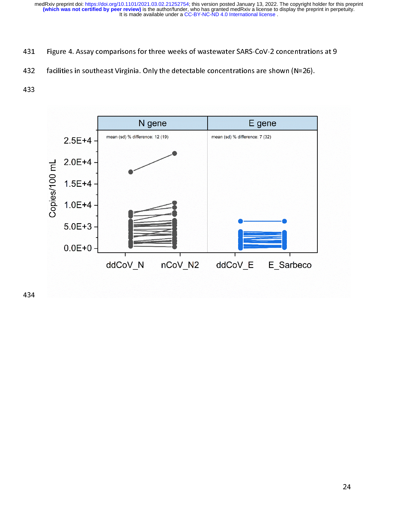- 
- 

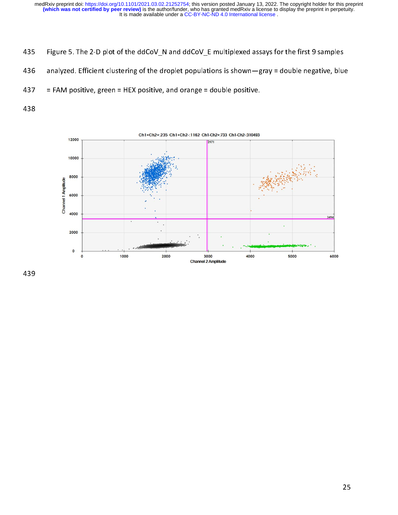- 435 Figure 5. The 2-D plot of the ddCoV N and ddCoV E multiplexed assays for the first 9 samples
- 436 analyzed. Efficient clustering of the droplet populations is shown—gray = double negative, blue
- 437 = FAM positive, green = HEX positive, and orange = double positive.
- 438



Ch1+Ch2+:235 Ch1+Ch2-:1162 Ch1-Ch2+:733 Ch1-Ch2-:310493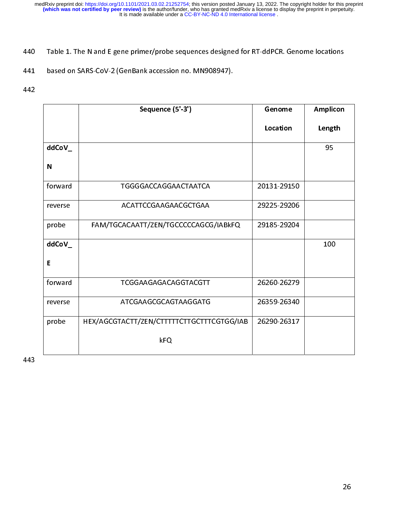|             | Sequence (5'-3')                          | Genome      | Amplicon |
|-------------|-------------------------------------------|-------------|----------|
|             |                                           | Location    | Length   |
| ddCoV_      |                                           |             | 95       |
| $\mathbf N$ |                                           |             |          |
| forward     | TGGGGACCAGGAACTAATCA                      | 20131-29150 |          |
| reverse     | ACATTCCGAAGAACGCTGAA                      | 29225-29206 |          |
| probe       | FAM/TGCACAATT/ZEN/TGCCCCCAGCG/IABkFQ      | 29185-29204 |          |
| ddCoV_      |                                           |             | 100      |
| E           |                                           |             |          |
| forward     | TCGGAAGAGACAGGTACGTT                      | 26260-26279 |          |
| reverse     | ATCGAAGCGCAGTAAGGATG                      | 26359-26340 |          |
| probe       | HEX/AGCGTACTT/ZEN/CTTTTTCTTGCTTTCGTGG/IAB | 26290-26317 |          |
|             | kFQ                                       |             |          |
|             |                                           |             |          |
|             |                                           |             |          |
|             |                                           |             |          |
|             |                                           |             |          |
|             |                                           |             |          |
|             |                                           |             |          |
|             |                                           |             |          |